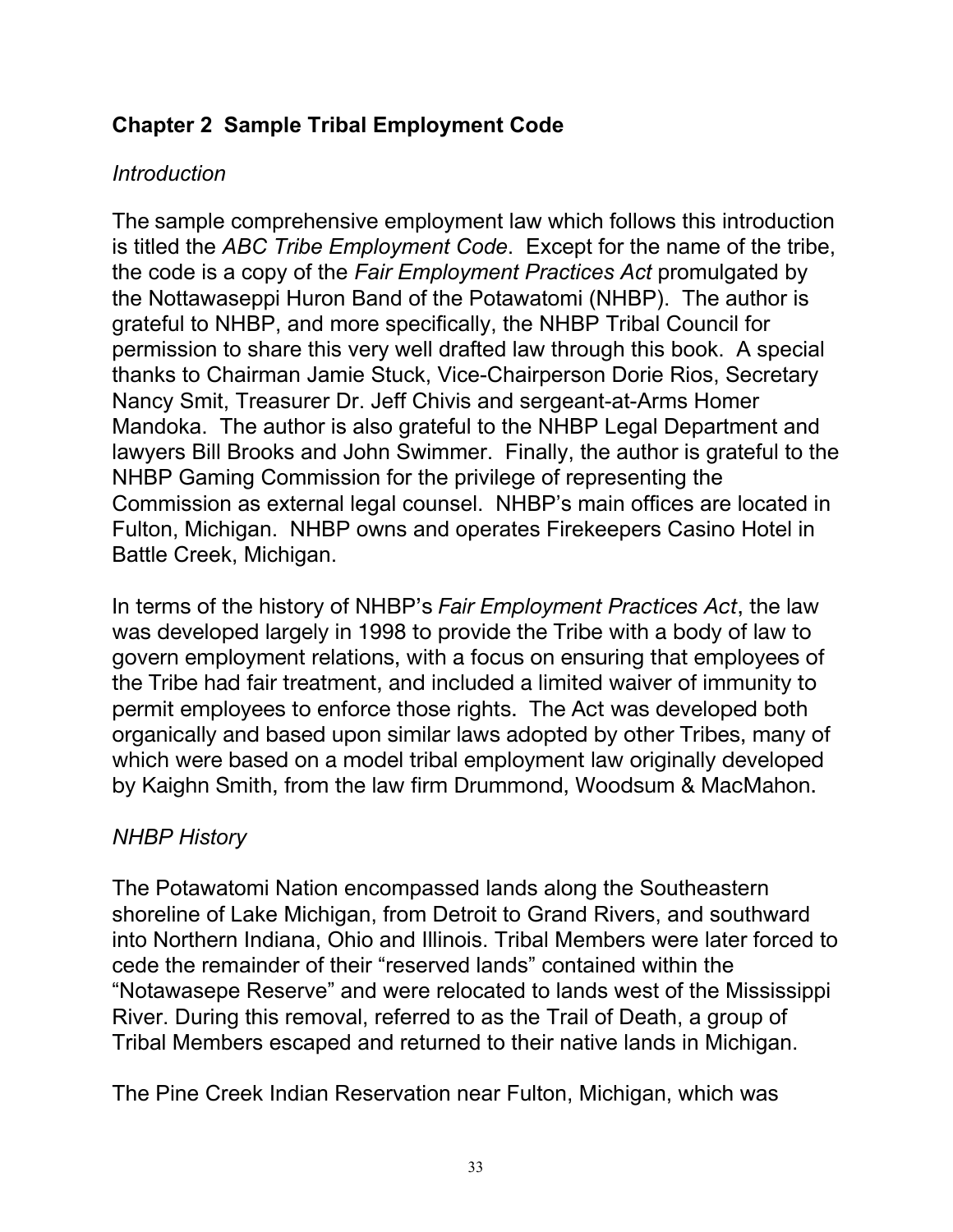# **Chapter 2 Sample Tribal Employment Code**

## *Introduction*

The sample comprehensive employment law which follows this introduction is titled the *ABC Tribe Employment Code*. Except for the name of the tribe, the code is a copy of the *Fair Employment Practices Act* promulgated by the Nottawaseppi Huron Band of the Potawatomi (NHBP). The author is grateful to NHBP, and more specifically, the NHBP Tribal Council for permission to share this very well drafted law through this book. A special thanks to Chairman Jamie Stuck, Vice-Chairperson Dorie Rios, Secretary Nancy Smit, Treasurer Dr. Jeff Chivis and sergeant-at-Arms Homer Mandoka. The author is also grateful to the NHBP Legal Department and lawyers Bill Brooks and John Swimmer. Finally, the author is grateful to the NHBP Gaming Commission for the privilege of representing the Commission as external legal counsel. NHBP's main offices are located in Fulton, Michigan. NHBP owns and operates Firekeepers Casino Hotel in Battle Creek, Michigan.

In terms of the history of NHBP's *Fair Employment Practices Act*, the law was developed largely in 1998 to provide the Tribe with a body of law to govern employment relations, with a focus on ensuring that employees of the Tribe had fair treatment, and included a limited waiver of immunity to permit employees to enforce those rights. The Act was developed both organically and based upon similar laws adopted by other Tribes, many of which were based on a model tribal employment law originally developed by Kaighn Smith, from the law firm Drummond, Woodsum & MacMahon.

## *NHBP History*

The Potawatomi Nation encompassed lands along the Southeastern shoreline of Lake Michigan, from Detroit to Grand Rivers, and southward into Northern Indiana, Ohio and Illinois. Tribal Members were later forced to cede the remainder of their "reserved lands" contained within the "Notawasepe Reserve" and were relocated to lands west of the Mississippi River. During this removal, referred to as the Trail of Death, a group of Tribal Members escaped and returned to their native lands in Michigan.

The Pine Creek Indian Reservation near Fulton, Michigan, which was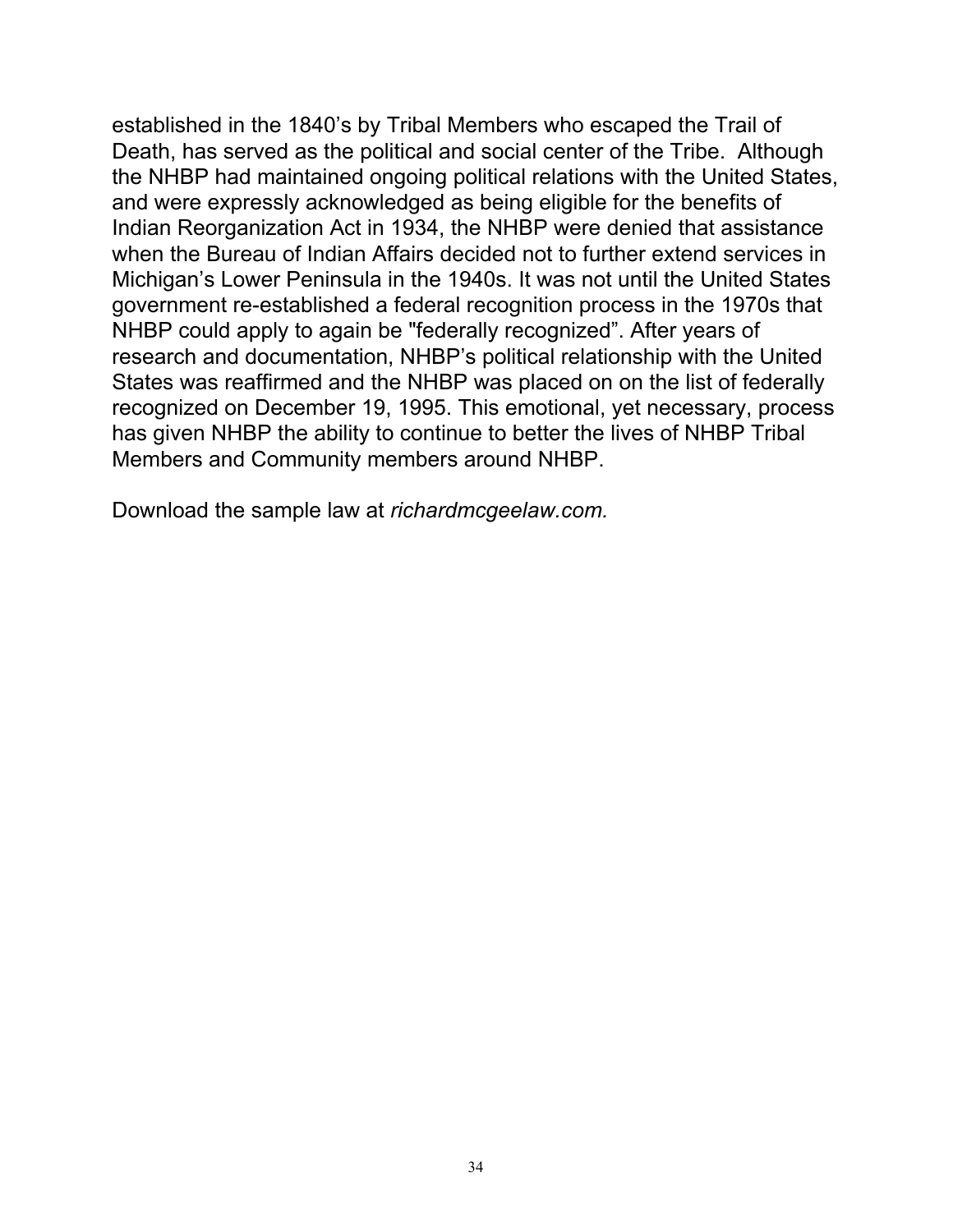established in the 1840's by Tribal Members who escaped the Trail of Death, has served as the political and social center of the Tribe. Although the NHBP had maintained ongoing political relations with the United States, and were expressly acknowledged as being eligible for the benefits of Indian Reorganization Act in 1934, the NHBP were denied that assistance when the Bureau of Indian Affairs decided not to further extend services in Michigan's Lower Peninsula in the 1940s. It was not until the United States government re-established a federal recognition process in the 1970s that NHBP could apply to again be "federally recognized". After years of research and documentation, NHBP's political relationship with the United States was reaffirmed and the NHBP was placed on on the list of federally recognized on December 19, 1995. This emotional, yet necessary, process has given NHBP the ability to continue to better the lives of NHBP Tribal Members and Community members around NHBP.

Download the sample law at *richardmcgeelaw.com.*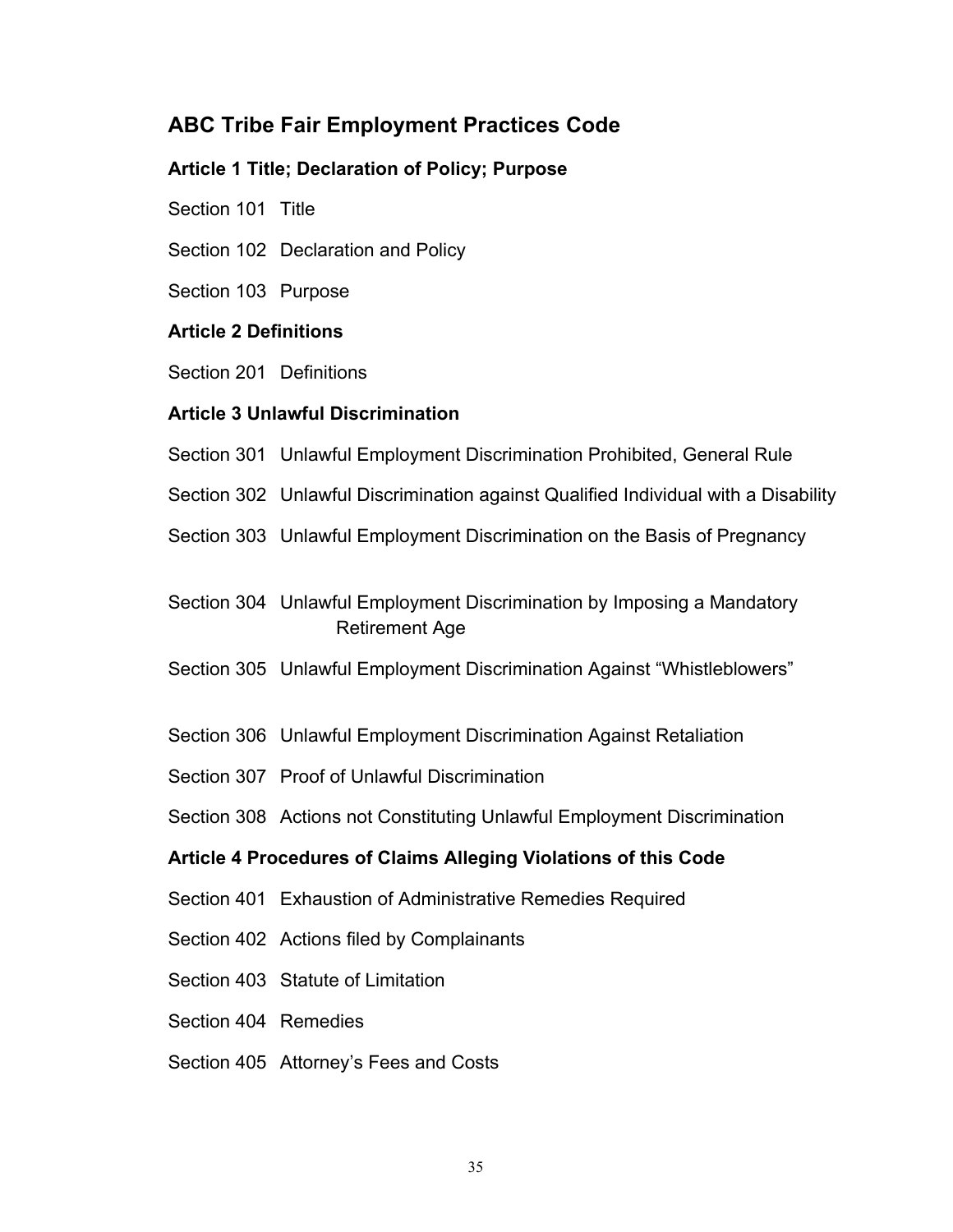## **ABC Tribe Fair Employment Practices Code**

#### **Article 1 Title; Declaration of Policy; Purpose**

Section 101 Title

- Section 102 Declaration and Policy
- Section 103 Purpose

#### **Article 2 Definitions**

Section 201 Definitions

#### **Article 3 Unlawful Discrimination**

- Section 301 Unlawful Employment Discrimination Prohibited, General Rule
- Section 302 Unlawful Discrimination against Qualified Individual with a Disability
- Section 303 Unlawful Employment Discrimination on the Basis of Pregnancy
- Section 304 Unlawful Employment Discrimination by Imposing a Mandatory Retirement Age
- Section 305 Unlawful Employment Discrimination Against "Whistleblowers"
- Section 306 Unlawful Employment Discrimination Against Retaliation
- Section 307 Proof of Unlawful Discrimination
- Section 308 Actions not Constituting Unlawful Employment Discrimination

#### **Article 4 Procedures of Claims Alleging Violations of this Code**

- Section 401 Exhaustion of Administrative Remedies Required
- Section 402 Actions filed by Complainants
- Section 403 Statute of Limitation
- Section 404 Remedies
- Section 405 Attorney's Fees and Costs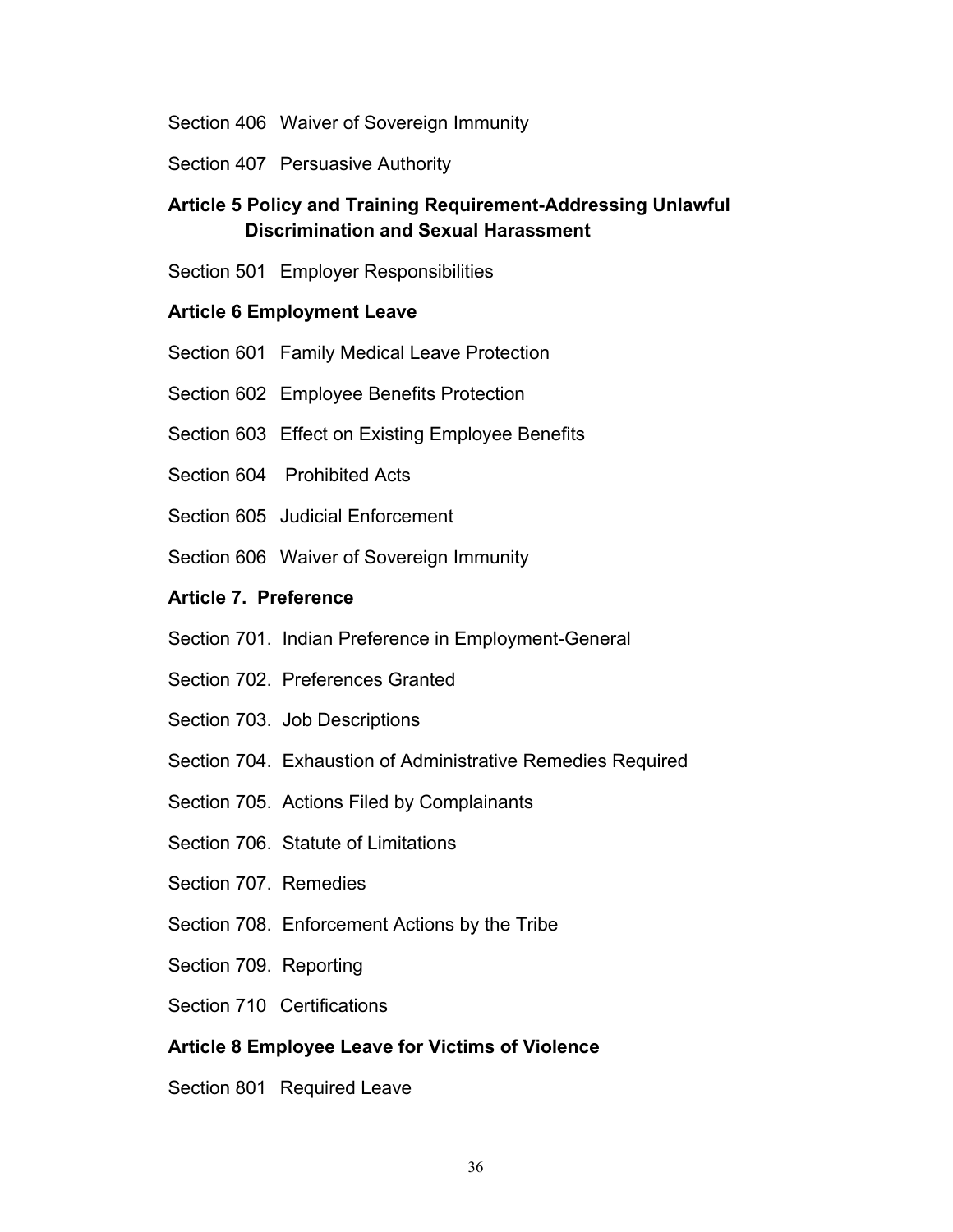- Section 406 Waiver of Sovereign Immunity
- Section 407 Persuasive Authority

### **Article 5 Policy and Training Requirement-Addressing Unlawful Discrimination and Sexual Harassment**

Section 501 Employer Responsibilities

#### **Article 6 Employment Leave**

- Section 601 Family Medical Leave Protection
- Section 602 Employee Benefits Protection
- Section 603 Effect on Existing Employee Benefits
- Section 604 Prohibited Acts
- Section 605 Judicial Enforcement
- Section 606 Waiver of Sovereign Immunity

#### **Article 7. Preference**

- Section 701. Indian Preference in Employment-General
- Section 702. Preferences Granted
- Section 703. Job Descriptions
- Section 704. Exhaustion of Administrative Remedies Required
- Section 705. Actions Filed by Complainants
- Section 706. Statute of Limitations
- Section 707. Remedies
- Section 708. Enforcement Actions by the Tribe
- Section 709. Reporting
- Section 710 Certifications

#### **Article 8 Employee Leave for Victims of Violence**

Section 801 Required Leave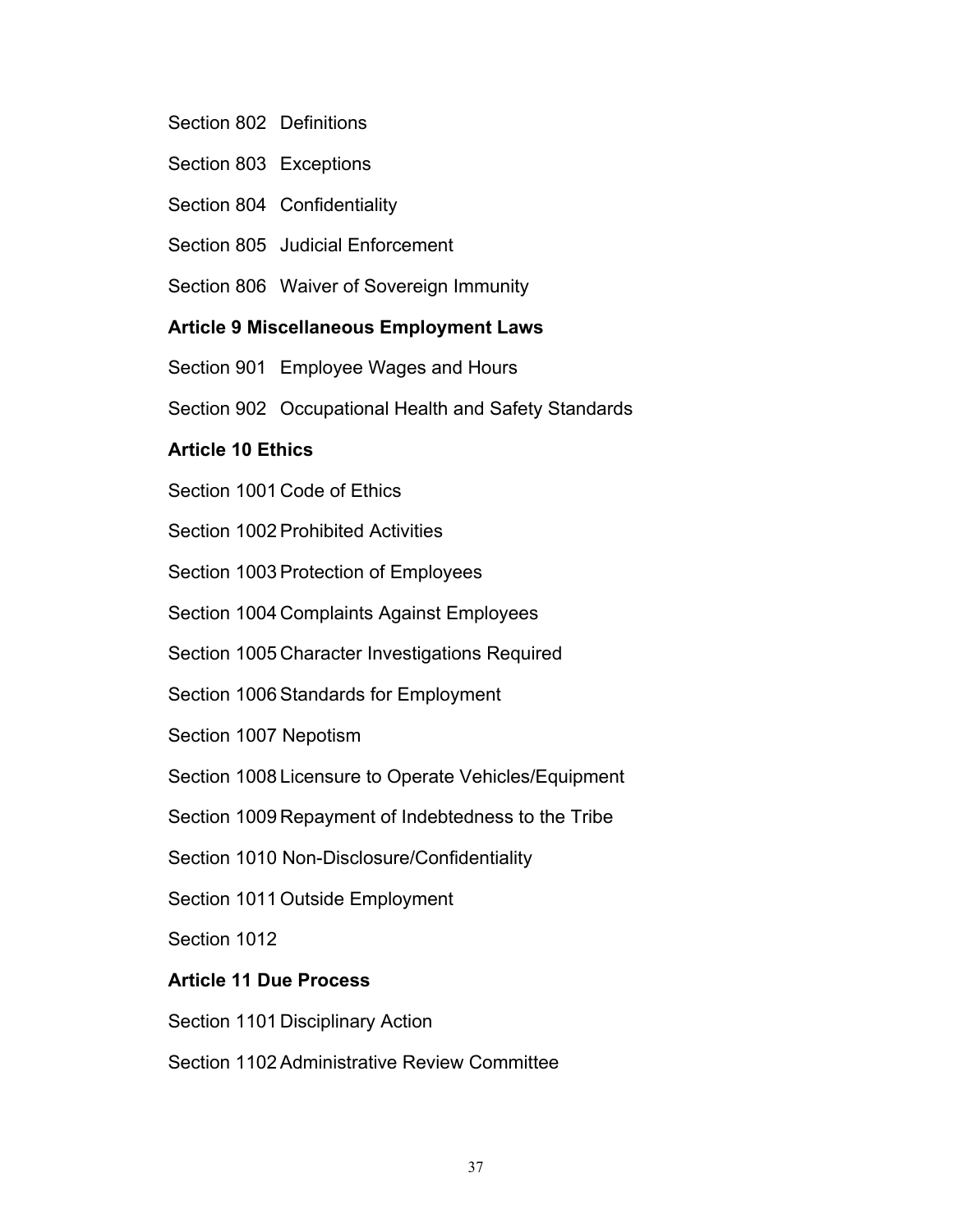#### Section 802 Definitions

- Section 803 Exceptions
- Section 804 Confidentiality
- Section 805 Judicial Enforcement
- Section 806 Waiver of Sovereign Immunity

#### **Article 9 Miscellaneous Employment Laws**

- Section 901 Employee Wages and Hours
- Section 902 Occupational Health and Safety Standards

#### **Article 10 Ethics**

- Section 1001 Code of Ethics
- Section 1002 Prohibited Activities

Section 1003 Protection of Employees

Section 1004 Complaints Against Employees

- Section 1005 Character Investigations Required
- Section 1006 Standards for Employment
- Section 1007 Nepotism
- Section 1008 Licensure to Operate Vehicles/Equipment
- Section 1009 Repayment of Indebtedness to the Tribe
- Section 1010 Non-Disclosure/Confidentiality
- Section 1011 Outside Employment

Section 1012

#### **Article 11 Due Process**

Section 1101 Disciplinary Action

Section 1102 Administrative Review Committee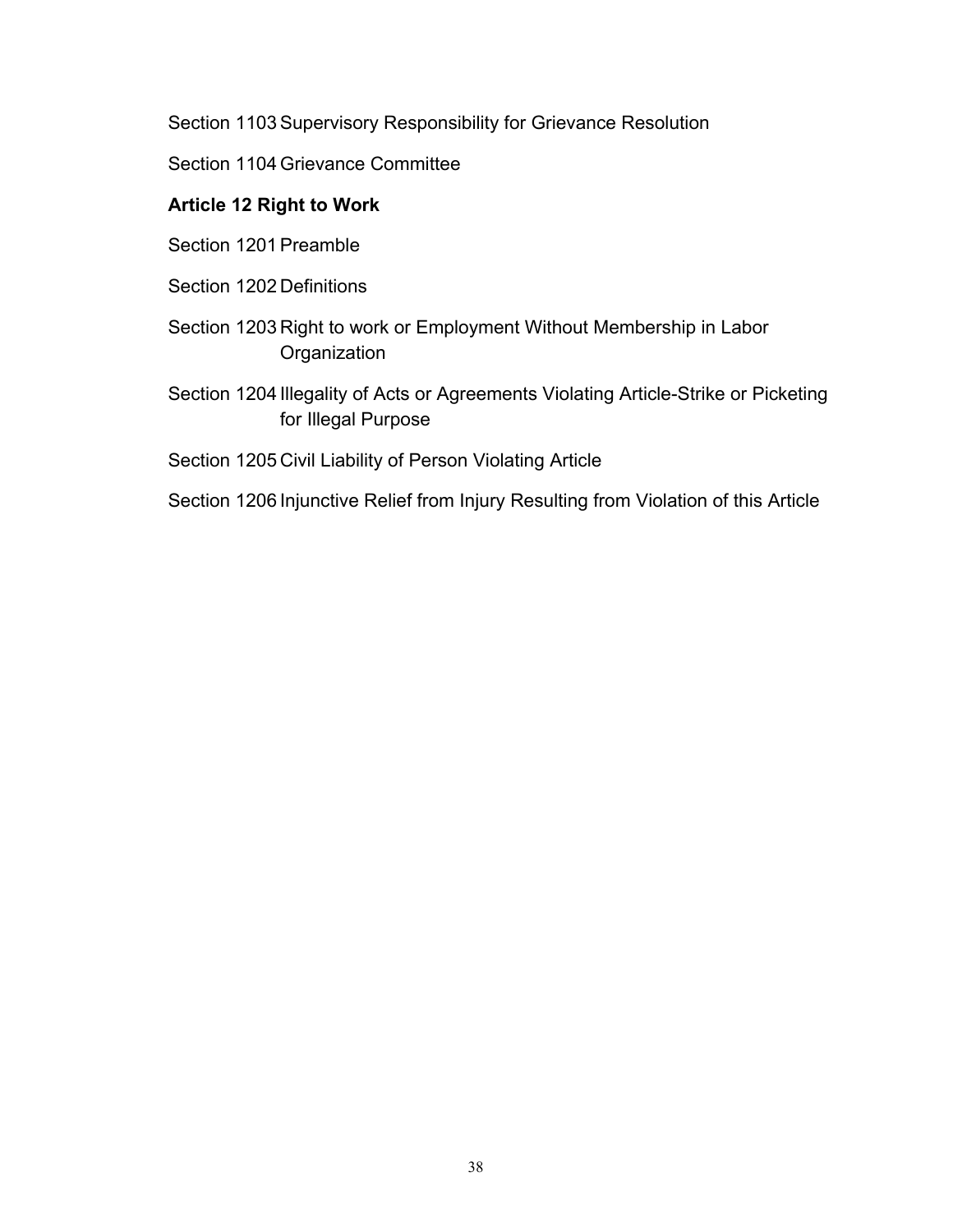Section 1103 Supervisory Responsibility for Grievance Resolution

Section 1104 Grievance Committee

### **Article 12 Right to Work**

- Section 1201 Preamble
- Section 1202 Definitions
- Section 1203 Right to work or Employment Without Membership in Labor **Organization**
- Section 1204 Illegality of Acts or Agreements Violating Article-Strike or Picketing for Illegal Purpose
- Section 1205 Civil Liability of Person Violating Article
- Section 1206 Injunctive Relief from Injury Resulting from Violation of this Article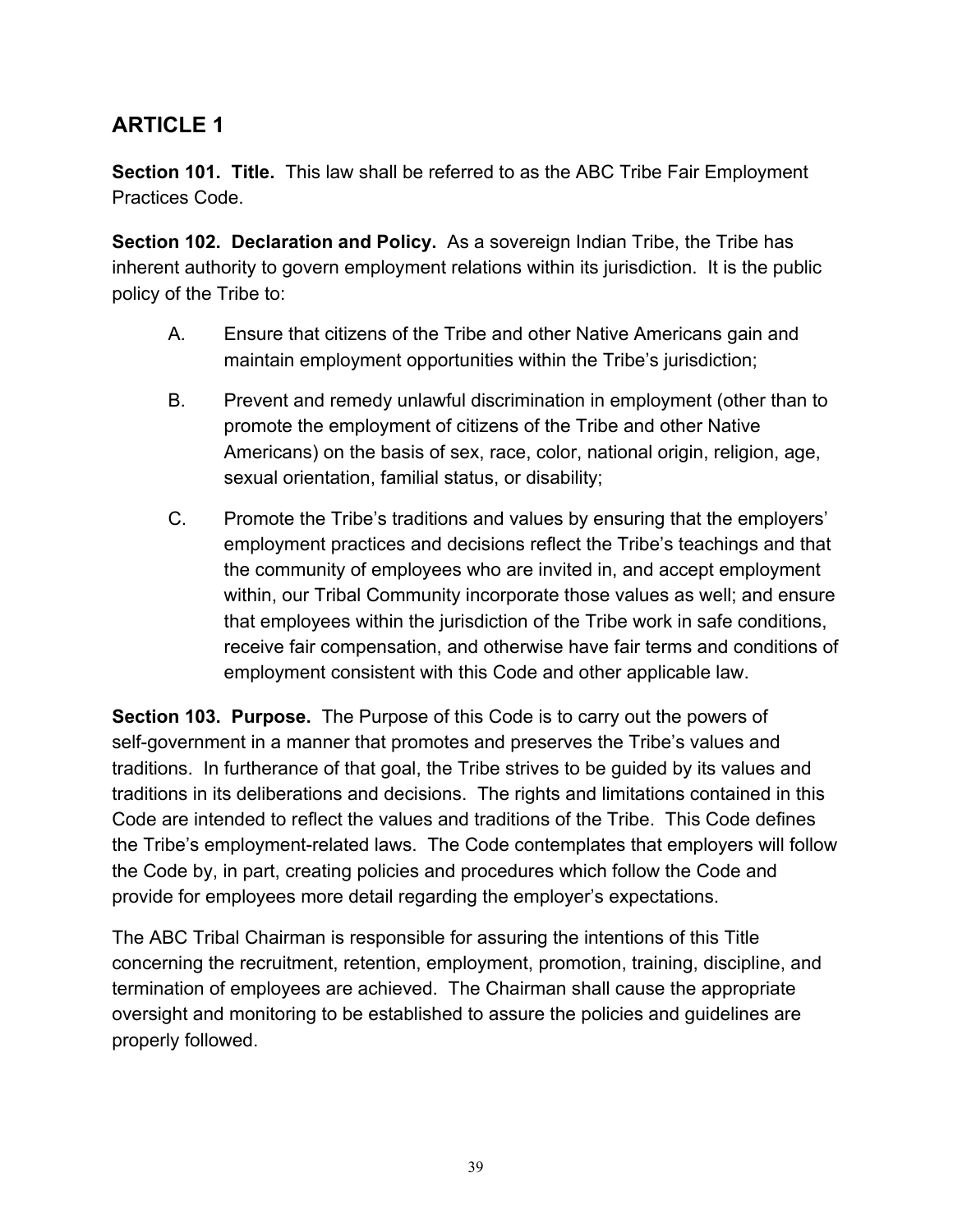# **ARTICLE 1**

**Section 101. Title.** This law shall be referred to as the ABC Tribe Fair Employment Practices Code.

**Section 102. Declaration and Policy.** As a sovereign Indian Tribe, the Tribe has inherent authority to govern employment relations within its jurisdiction. It is the public policy of the Tribe to:

- A. Ensure that citizens of the Tribe and other Native Americans gain and maintain employment opportunities within the Tribe's jurisdiction;
- B. Prevent and remedy unlawful discrimination in employment (other than to promote the employment of citizens of the Tribe and other Native Americans) on the basis of sex, race, color, national origin, religion, age, sexual orientation, familial status, or disability;
- C. Promote the Tribe's traditions and values by ensuring that the employers' employment practices and decisions reflect the Tribe's teachings and that the community of employees who are invited in, and accept employment within, our Tribal Community incorporate those values as well; and ensure that employees within the jurisdiction of the Tribe work in safe conditions, receive fair compensation, and otherwise have fair terms and conditions of employment consistent with this Code and other applicable law.

**Section 103. Purpose.** The Purpose of this Code is to carry out the powers of self-government in a manner that promotes and preserves the Tribe's values and traditions. In furtherance of that goal, the Tribe strives to be guided by its values and traditions in its deliberations and decisions. The rights and limitations contained in this Code are intended to reflect the values and traditions of the Tribe. This Code defines the Tribe's employment-related laws. The Code contemplates that employers will follow the Code by, in part, creating policies and procedures which follow the Code and provide for employees more detail regarding the employer's expectations.

The ABC Tribal Chairman is responsible for assuring the intentions of this Title concerning the recruitment, retention, employment, promotion, training, discipline, and termination of employees are achieved. The Chairman shall cause the appropriate oversight and monitoring to be established to assure the policies and guidelines are properly followed.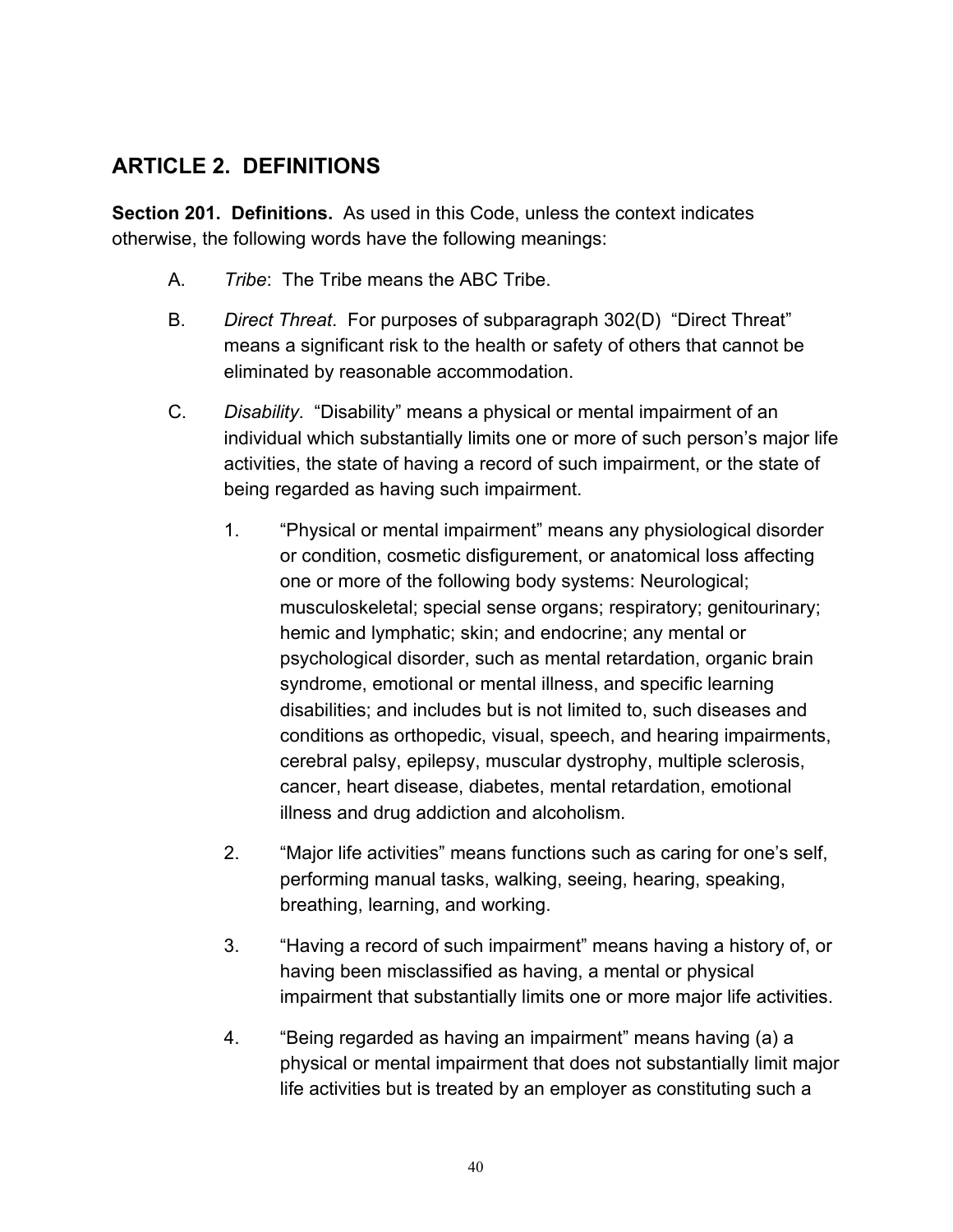## **ARTICLE 2. DEFINITIONS**

**Section 201. Definitions.** As used in this Code, unless the context indicates otherwise, the following words have the following meanings:

- A. *Tribe*: The Tribe means the ABC Tribe.
- B. *Direct Threat*. For purposes of subparagraph 302(D) "Direct Threat" means a significant risk to the health or safety of others that cannot be eliminated by reasonable accommodation.
- C. *Disability*. "Disability" means a physical or mental impairment of an individual which substantially limits one or more of such person's major life activities, the state of having a record of such impairment, or the state of being regarded as having such impairment.
	- 1. "Physical or mental impairment" means any physiological disorder or condition, cosmetic disfigurement, or anatomical loss affecting one or more of the following body systems: Neurological; musculoskeletal; special sense organs; respiratory; genitourinary; hemic and lymphatic; skin; and endocrine; any mental or psychological disorder, such as mental retardation, organic brain syndrome, emotional or mental illness, and specific learning disabilities; and includes but is not limited to, such diseases and conditions as orthopedic, visual, speech, and hearing impairments, cerebral palsy, epilepsy, muscular dystrophy, multiple sclerosis, cancer, heart disease, diabetes, mental retardation, emotional illness and drug addiction and alcoholism.
	- 2. "Major life activities" means functions such as caring for one's self, performing manual tasks, walking, seeing, hearing, speaking, breathing, learning, and working.
	- 3. "Having a record of such impairment" means having a history of, or having been misclassified as having, a mental or physical impairment that substantially limits one or more major life activities.
	- 4. "Being regarded as having an impairment" means having (a) a physical or mental impairment that does not substantially limit major life activities but is treated by an employer as constituting such a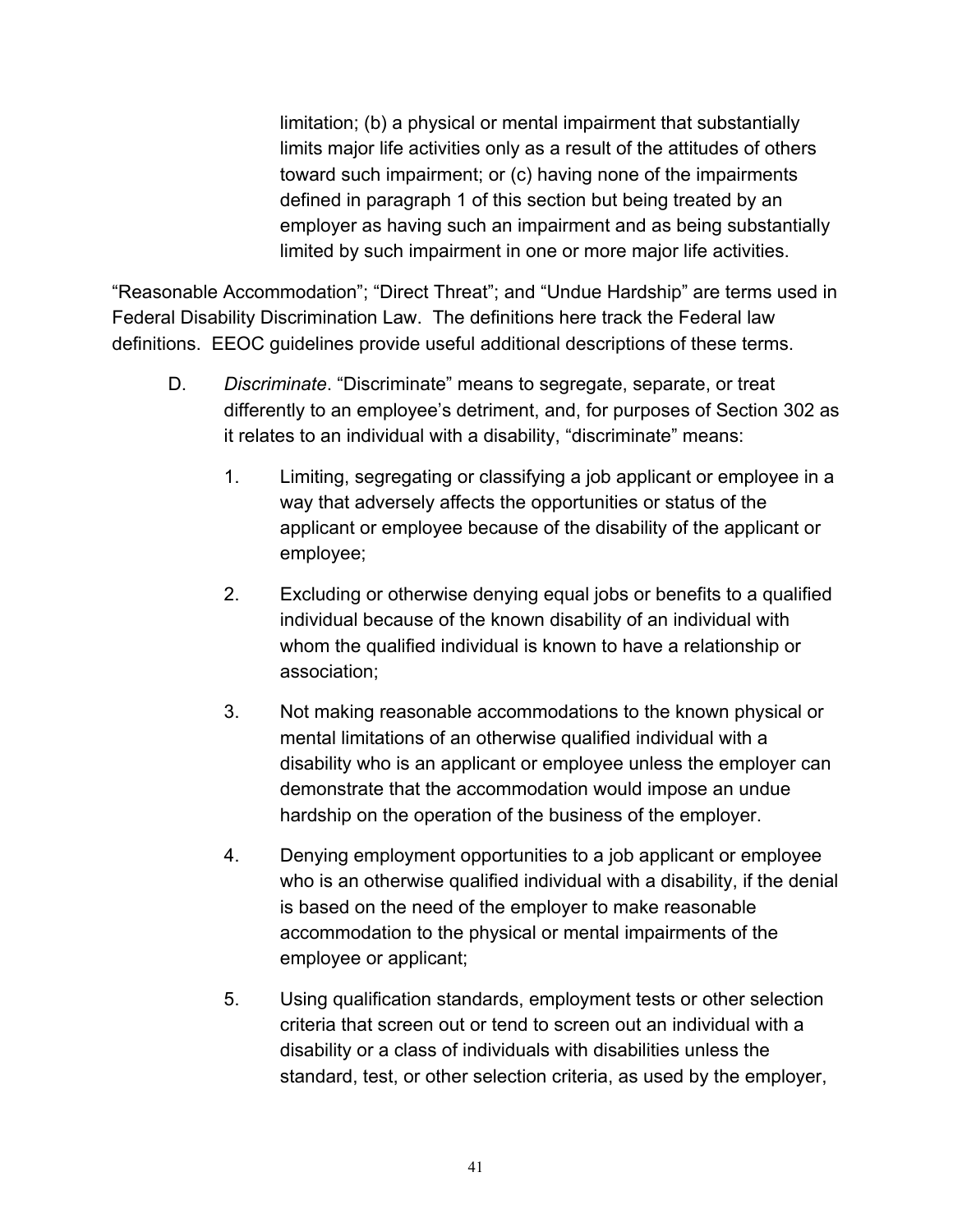limitation; (b) a physical or mental impairment that substantially limits major life activities only as a result of the attitudes of others toward such impairment; or (c) having none of the impairments defined in paragraph 1 of this section but being treated by an employer as having such an impairment and as being substantially limited by such impairment in one or more major life activities.

"Reasonable Accommodation"; "Direct Threat"; and "Undue Hardship" are terms used in Federal Disability Discrimination Law. The definitions here track the Federal law definitions. EEOC guidelines provide useful additional descriptions of these terms.

- D. *Discriminate*. "Discriminate" means to segregate, separate, or treat differently to an employee's detriment, and, for purposes of Section 302 as it relates to an individual with a disability, "discriminate" means:
	- 1. Limiting, segregating or classifying a job applicant or employee in a way that adversely affects the opportunities or status of the applicant or employee because of the disability of the applicant or employee;
	- 2. Excluding or otherwise denying equal jobs or benefits to a qualified individual because of the known disability of an individual with whom the qualified individual is known to have a relationship or association;
	- 3. Not making reasonable accommodations to the known physical or mental limitations of an otherwise qualified individual with a disability who is an applicant or employee unless the employer can demonstrate that the accommodation would impose an undue hardship on the operation of the business of the employer.
	- 4. Denying employment opportunities to a job applicant or employee who is an otherwise qualified individual with a disability, if the denial is based on the need of the employer to make reasonable accommodation to the physical or mental impairments of the employee or applicant;
	- 5. Using qualification standards, employment tests or other selection criteria that screen out or tend to screen out an individual with a disability or a class of individuals with disabilities unless the standard, test, or other selection criteria, as used by the employer,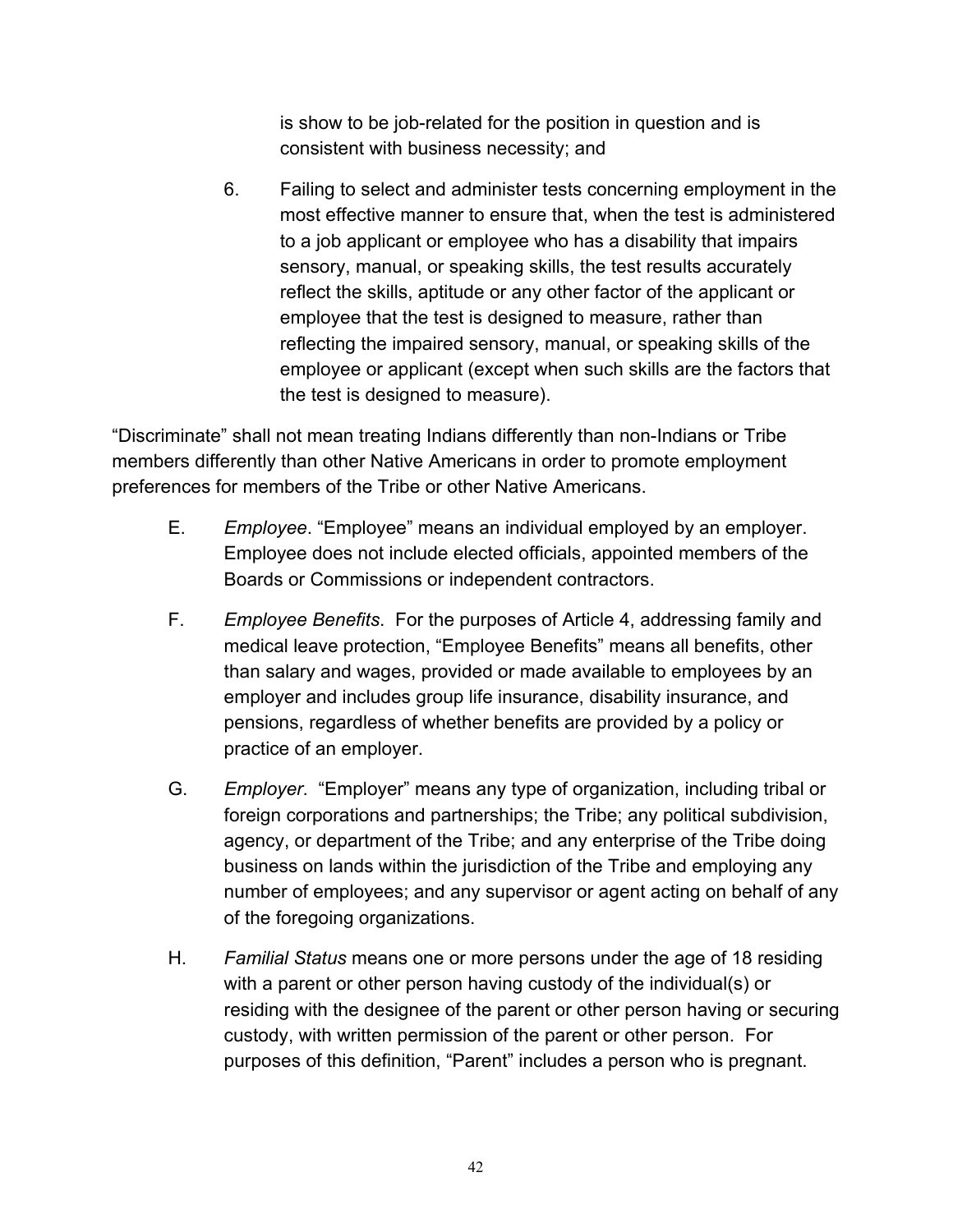is show to be job-related for the position in question and is consistent with business necessity; and

6. Failing to select and administer tests concerning employment in the most effective manner to ensure that, when the test is administered to a job applicant or employee who has a disability that impairs sensory, manual, or speaking skills, the test results accurately reflect the skills, aptitude or any other factor of the applicant or employee that the test is designed to measure, rather than reflecting the impaired sensory, manual, or speaking skills of the employee or applicant (except when such skills are the factors that the test is designed to measure).

"Discriminate" shall not mean treating Indians differently than non-Indians or Tribe members differently than other Native Americans in order to promote employment preferences for members of the Tribe or other Native Americans.

- E. *Employee*. "Employee" means an individual employed by an employer. Employee does not include elected officials, appointed members of the Boards or Commissions or independent contractors.
- F. *Employee Benefits*. For the purposes of Article 4, addressing family and medical leave protection, "Employee Benefits" means all benefits, other than salary and wages, provided or made available to employees by an employer and includes group life insurance, disability insurance, and pensions, regardless of whether benefits are provided by a policy or practice of an employer.
- G. *Employer*. "Employer" means any type of organization, including tribal or foreign corporations and partnerships; the Tribe; any political subdivision, agency, or department of the Tribe; and any enterprise of the Tribe doing business on lands within the jurisdiction of the Tribe and employing any number of employees; and any supervisor or agent acting on behalf of any of the foregoing organizations.
- H. *Familial Status* means one or more persons under the age of 18 residing with a parent or other person having custody of the individual(s) or residing with the designee of the parent or other person having or securing custody, with written permission of the parent or other person. For purposes of this definition, "Parent" includes a person who is pregnant.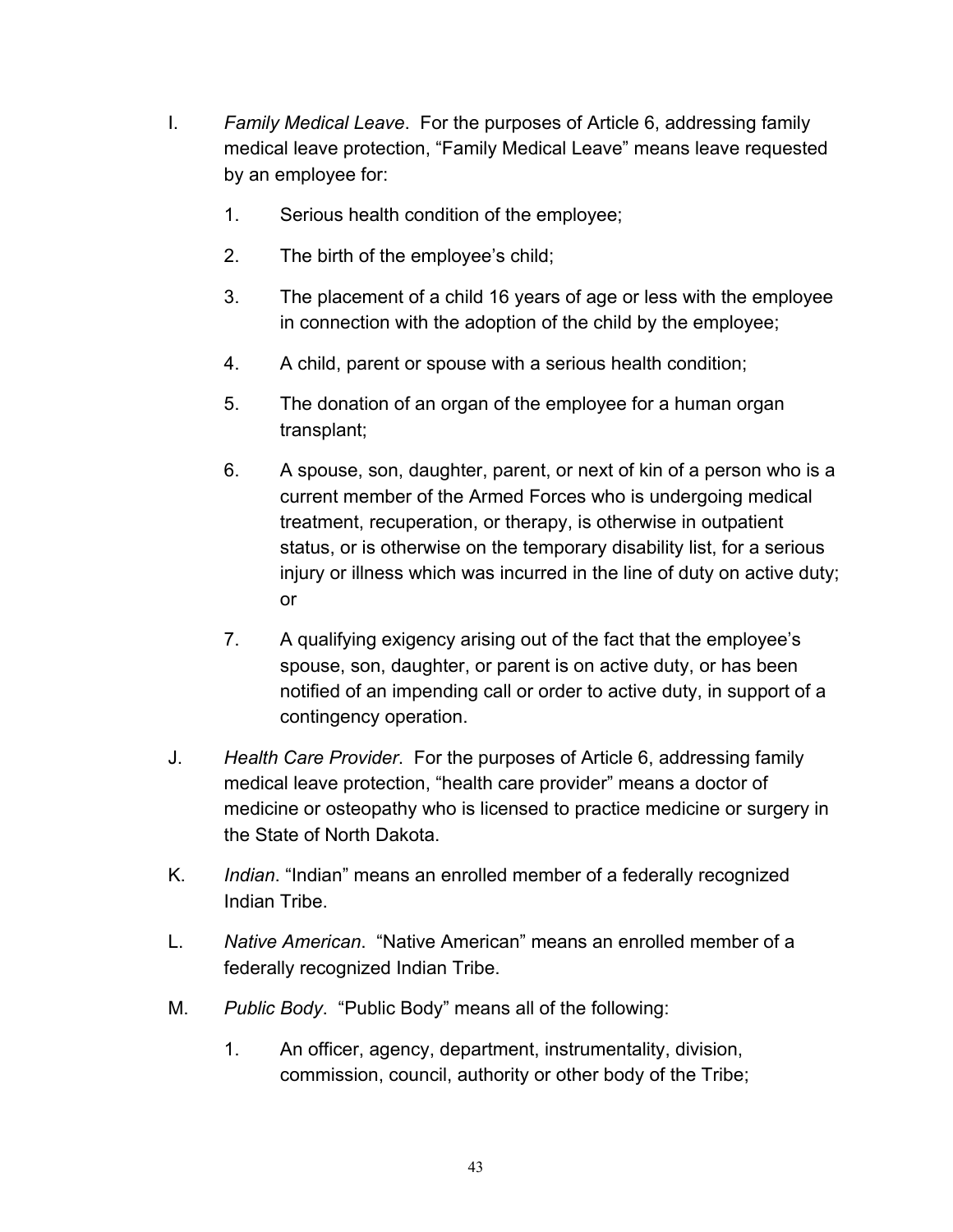- I. *Family Medical Leave*. For the purposes of Article 6, addressing family medical leave protection, "Family Medical Leave" means leave requested by an employee for:
	- 1. Serious health condition of the employee;
	- 2. The birth of the employee's child;
	- 3. The placement of a child 16 years of age or less with the employee in connection with the adoption of the child by the employee;
	- 4. A child, parent or spouse with a serious health condition;
	- 5. The donation of an organ of the employee for a human organ transplant;
	- 6. A spouse, son, daughter, parent, or next of kin of a person who is a current member of the Armed Forces who is undergoing medical treatment, recuperation, or therapy, is otherwise in outpatient status, or is otherwise on the temporary disability list, for a serious injury or illness which was incurred in the line of duty on active duty; or
	- 7. A qualifying exigency arising out of the fact that the employee's spouse, son, daughter, or parent is on active duty, or has been notified of an impending call or order to active duty, in support of a contingency operation.
- J. *Health Care Provider*. For the purposes of Article 6, addressing family medical leave protection, "health care provider" means a doctor of medicine or osteopathy who is licensed to practice medicine or surgery in the State of North Dakota.
- K. *Indian*. "Indian" means an enrolled member of a federally recognized Indian Tribe.
- L. *Native American*. "Native American" means an enrolled member of a federally recognized Indian Tribe.
- M. *Public Body*. "Public Body" means all of the following:
	- 1. An officer, agency, department, instrumentality, division, commission, council, authority or other body of the Tribe;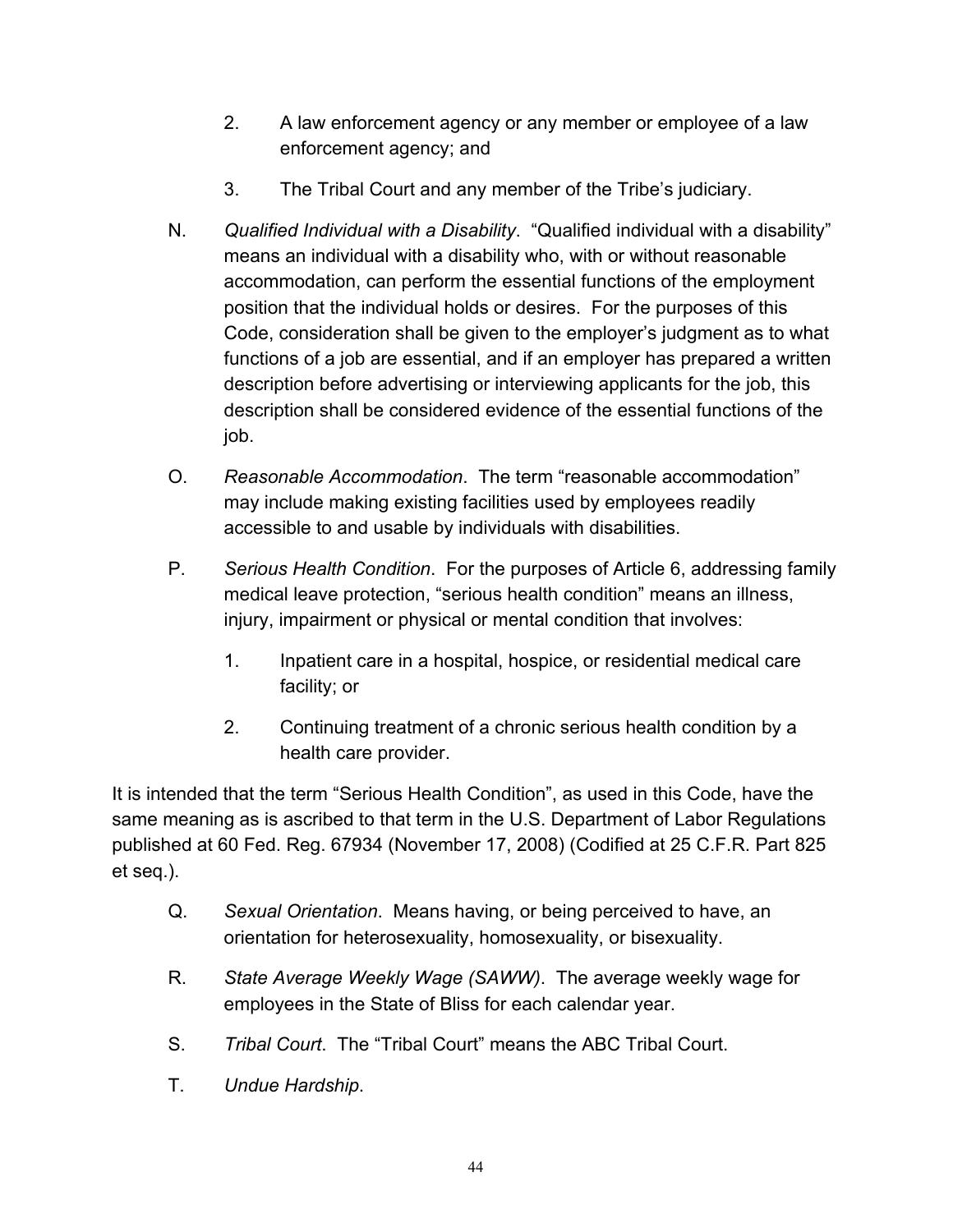- 2. A law enforcement agency or any member or employee of a law enforcement agency; and
- 3. The Tribal Court and any member of the Tribe's judiciary.
- N. *Qualified Individual with a Disability*. "Qualified individual with a disability" means an individual with a disability who, with or without reasonable accommodation, can perform the essential functions of the employment position that the individual holds or desires. For the purposes of this Code, consideration shall be given to the employer's judgment as to what functions of a job are essential, and if an employer has prepared a written description before advertising or interviewing applicants for the job, this description shall be considered evidence of the essential functions of the job.
- O. *Reasonable Accommodation*. The term "reasonable accommodation" may include making existing facilities used by employees readily accessible to and usable by individuals with disabilities.
- P. *Serious Health Condition*. For the purposes of Article 6, addressing family medical leave protection, "serious health condition" means an illness, injury, impairment or physical or mental condition that involves:
	- 1. Inpatient care in a hospital, hospice, or residential medical care facility; or
	- 2. Continuing treatment of a chronic serious health condition by a health care provider.

It is intended that the term "Serious Health Condition", as used in this Code, have the same meaning as is ascribed to that term in the U.S. Department of Labor Regulations published at 60 Fed. Reg. 67934 (November 17, 2008) (Codified at 25 C.F.R. Part 825 et seq.).

- Q. *Sexual Orientation*. Means having, or being perceived to have, an orientation for heterosexuality, homosexuality, or bisexuality.
- R. *State Average Weekly Wage (SAWW)*. The average weekly wage for employees in the State of Bliss for each calendar year.
- S. *Tribal Court*. The "Tribal Court" means the ABC Tribal Court.
- T. *Undue Hardship*.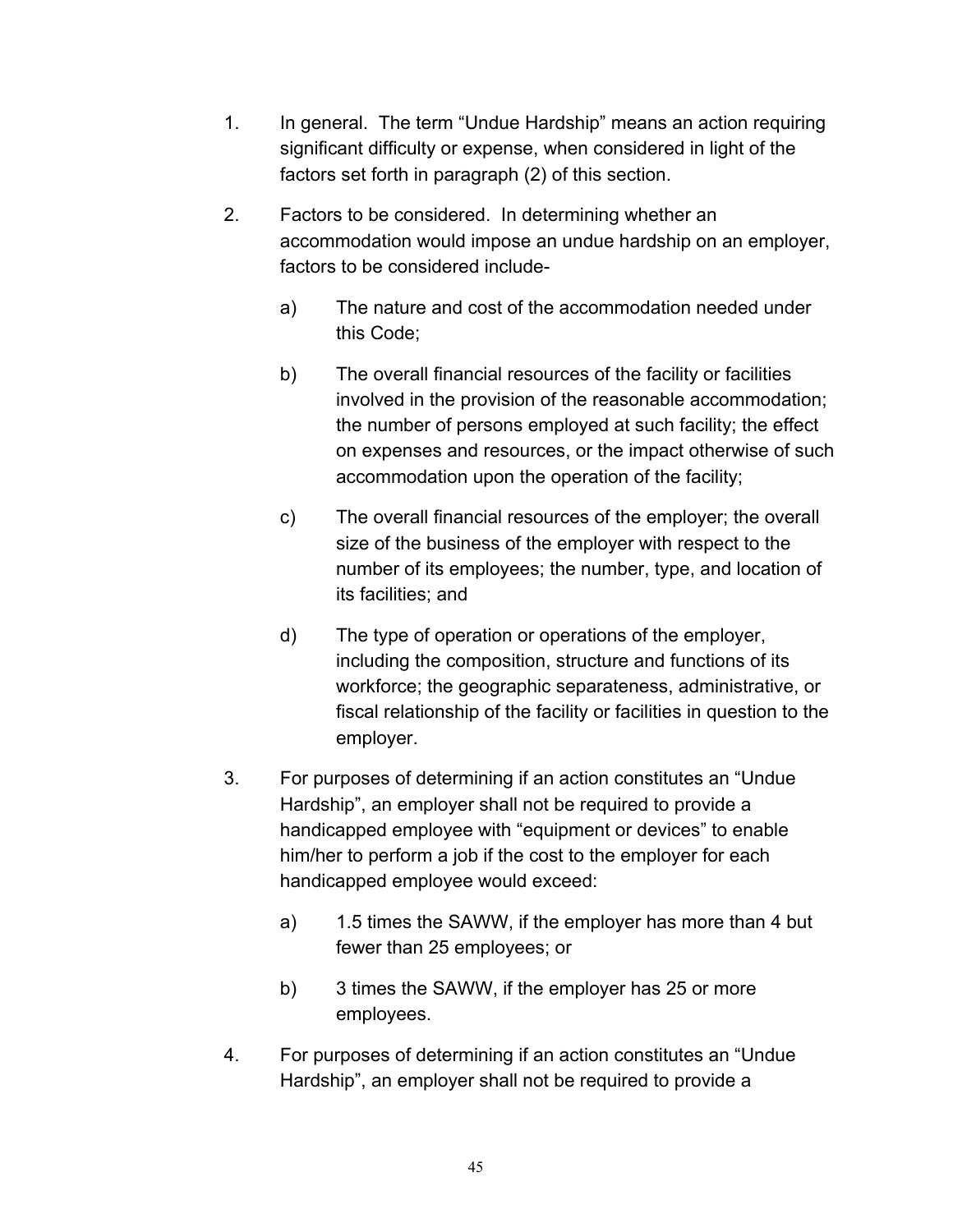- 1. In general. The term "Undue Hardship" means an action requiring significant difficulty or expense, when considered in light of the factors set forth in paragraph (2) of this section.
- 2. Factors to be considered. In determining whether an accommodation would impose an undue hardship on an employer, factors to be considered include
	- a) The nature and cost of the accommodation needed under this Code;
	- b) The overall financial resources of the facility or facilities involved in the provision of the reasonable accommodation; the number of persons employed at such facility; the effect on expenses and resources, or the impact otherwise of such accommodation upon the operation of the facility;
	- c) The overall financial resources of the employer; the overall size of the business of the employer with respect to the number of its employees; the number, type, and location of its facilities; and
	- d) The type of operation or operations of the employer, including the composition, structure and functions of its workforce; the geographic separateness, administrative, or fiscal relationship of the facility or facilities in question to the employer.
- 3. For purposes of determining if an action constitutes an "Undue Hardship", an employer shall not be required to provide a handicapped employee with "equipment or devices" to enable him/her to perform a job if the cost to the employer for each handicapped employee would exceed:
	- a) 1.5 times the SAWW, if the employer has more than 4 but fewer than 25 employees; or
	- b) 3 times the SAWW, if the employer has 25 or more employees.
- 4. For purposes of determining if an action constitutes an "Undue Hardship", an employer shall not be required to provide a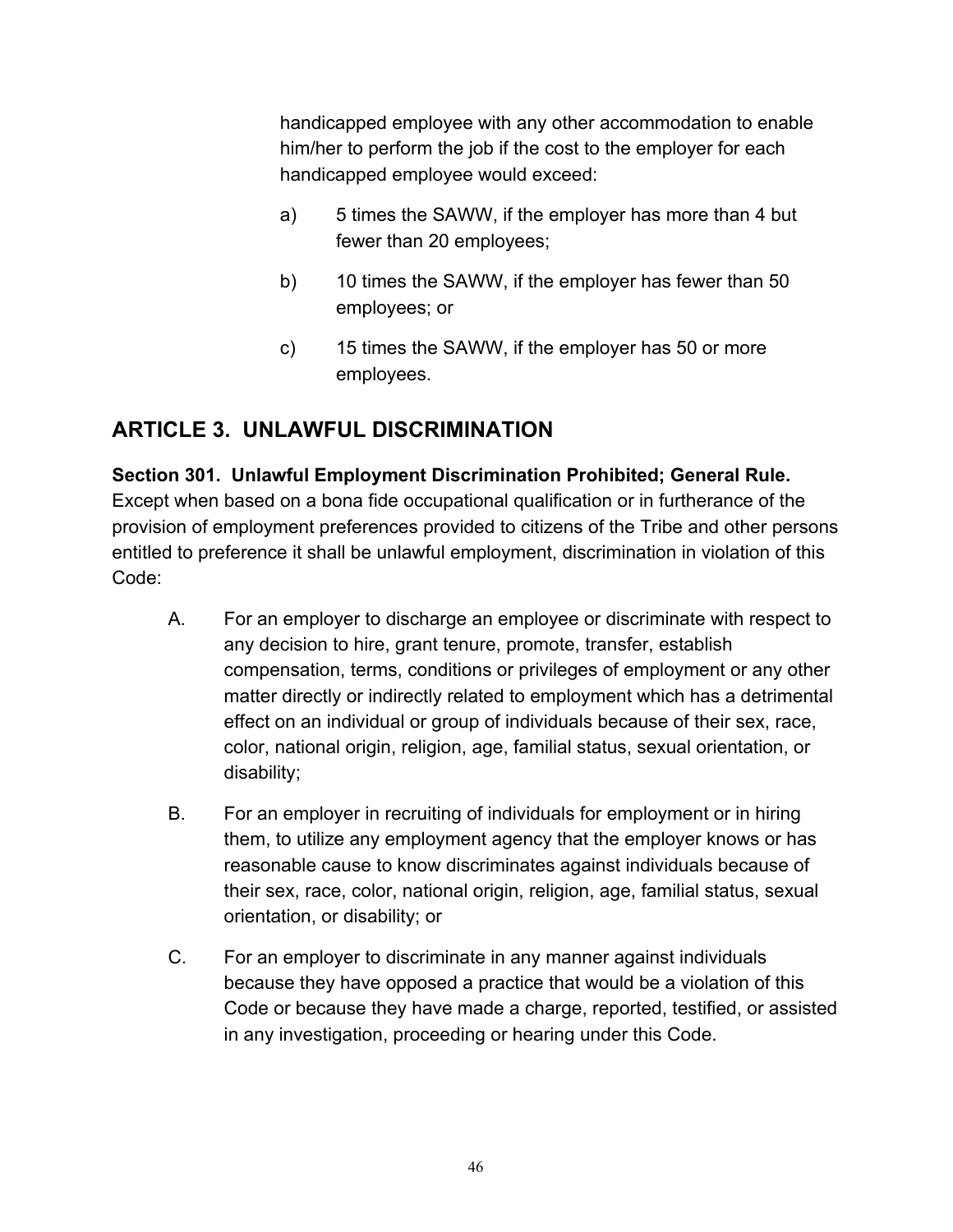handicapped employee with any other accommodation to enable him/her to perform the job if the cost to the employer for each handicapped employee would exceed:

- a) 5 times the SAWW, if the employer has more than 4 but fewer than 20 employees;
- b) 10 times the SAWW, if the employer has fewer than 50 employees; or
- c) 15 times the SAWW, if the employer has 50 or more employees.

# **ARTICLE 3. UNLAWFUL DISCRIMINATION**

## **Section 301. Unlawful Employment Discrimination Prohibited; General Rule.** Except when based on a bona fide occupational qualification or in furtherance of the provision of employment preferences provided to citizens of the Tribe and other persons entitled to preference it shall be unlawful employment, discrimination in violation of this Code:

- A. For an employer to discharge an employee or discriminate with respect to any decision to hire, grant tenure, promote, transfer, establish compensation, terms, conditions or privileges of employment or any other matter directly or indirectly related to employment which has a detrimental effect on an individual or group of individuals because of their sex, race, color, national origin, religion, age, familial status, sexual orientation, or disability;
- B. For an employer in recruiting of individuals for employment or in hiring them, to utilize any employment agency that the employer knows or has reasonable cause to know discriminates against individuals because of their sex, race, color, national origin, religion, age, familial status, sexual orientation, or disability; or
- C. For an employer to discriminate in any manner against individuals because they have opposed a practice that would be a violation of this Code or because they have made a charge, reported, testified, or assisted in any investigation, proceeding or hearing under this Code.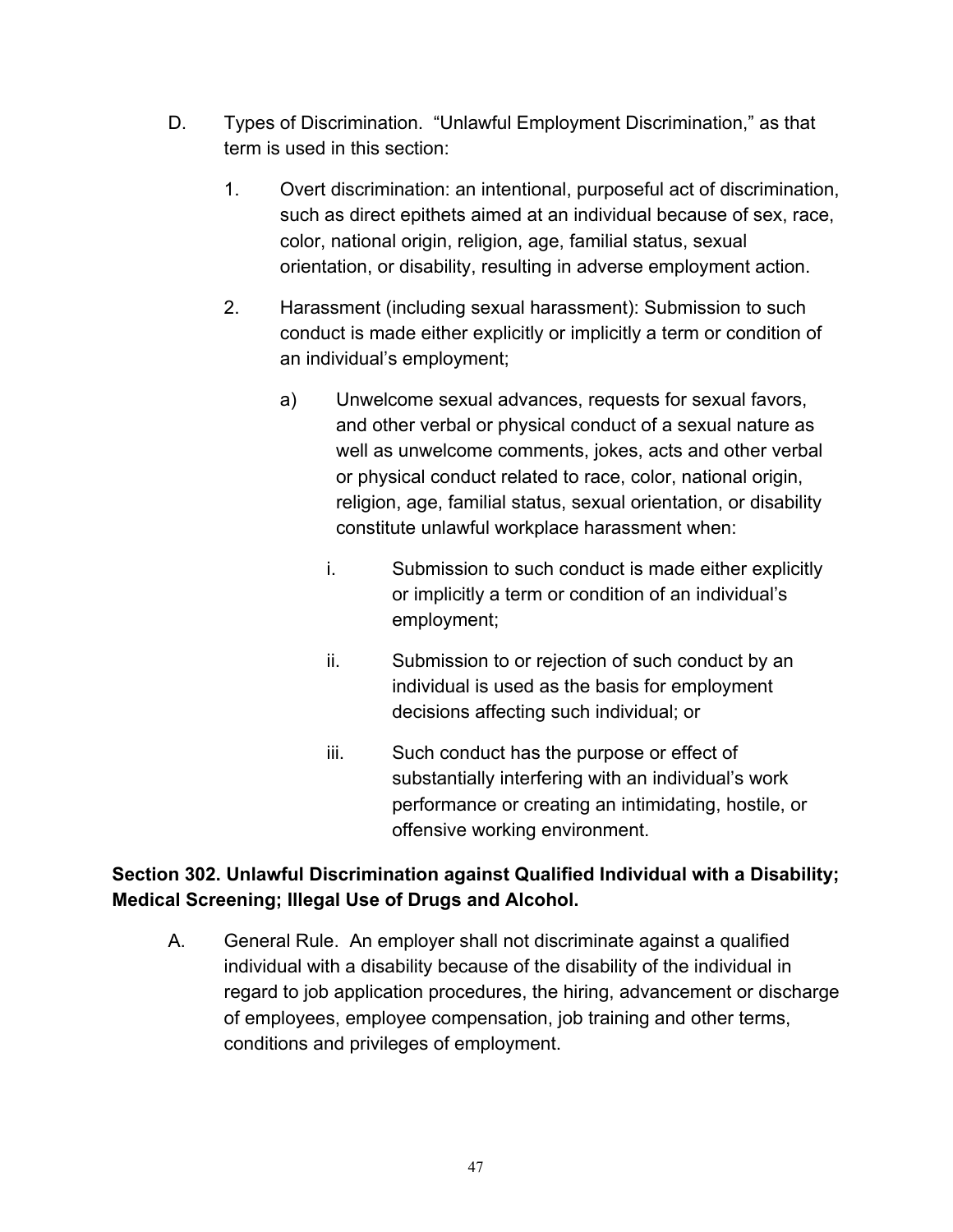- D. Types of Discrimination. "Unlawful Employment Discrimination," as that term is used in this section:
	- 1. Overt discrimination: an intentional, purposeful act of discrimination, such as direct epithets aimed at an individual because of sex, race, color, national origin, religion, age, familial status, sexual orientation, or disability, resulting in adverse employment action.
	- 2. Harassment (including sexual harassment): Submission to such conduct is made either explicitly or implicitly a term or condition of an individual's employment;
		- a) Unwelcome sexual advances, requests for sexual favors, and other verbal or physical conduct of a sexual nature as well as unwelcome comments, jokes, acts and other verbal or physical conduct related to race, color, national origin, religion, age, familial status, sexual orientation, or disability constitute unlawful workplace harassment when:
			- i. Submission to such conduct is made either explicitly or implicitly a term or condition of an individual's employment;
			- ii. Submission to or rejection of such conduct by an individual is used as the basis for employment decisions affecting such individual; or
			- iii. Such conduct has the purpose or effect of substantially interfering with an individual's work performance or creating an intimidating, hostile, or offensive working environment.

### **Section 302. Unlawful Discrimination against Qualified Individual with a Disability; Medical Screening; Illegal Use of Drugs and Alcohol.**

A. General Rule. An employer shall not discriminate against a qualified individual with a disability because of the disability of the individual in regard to job application procedures, the hiring, advancement or discharge of employees, employee compensation, job training and other terms, conditions and privileges of employment.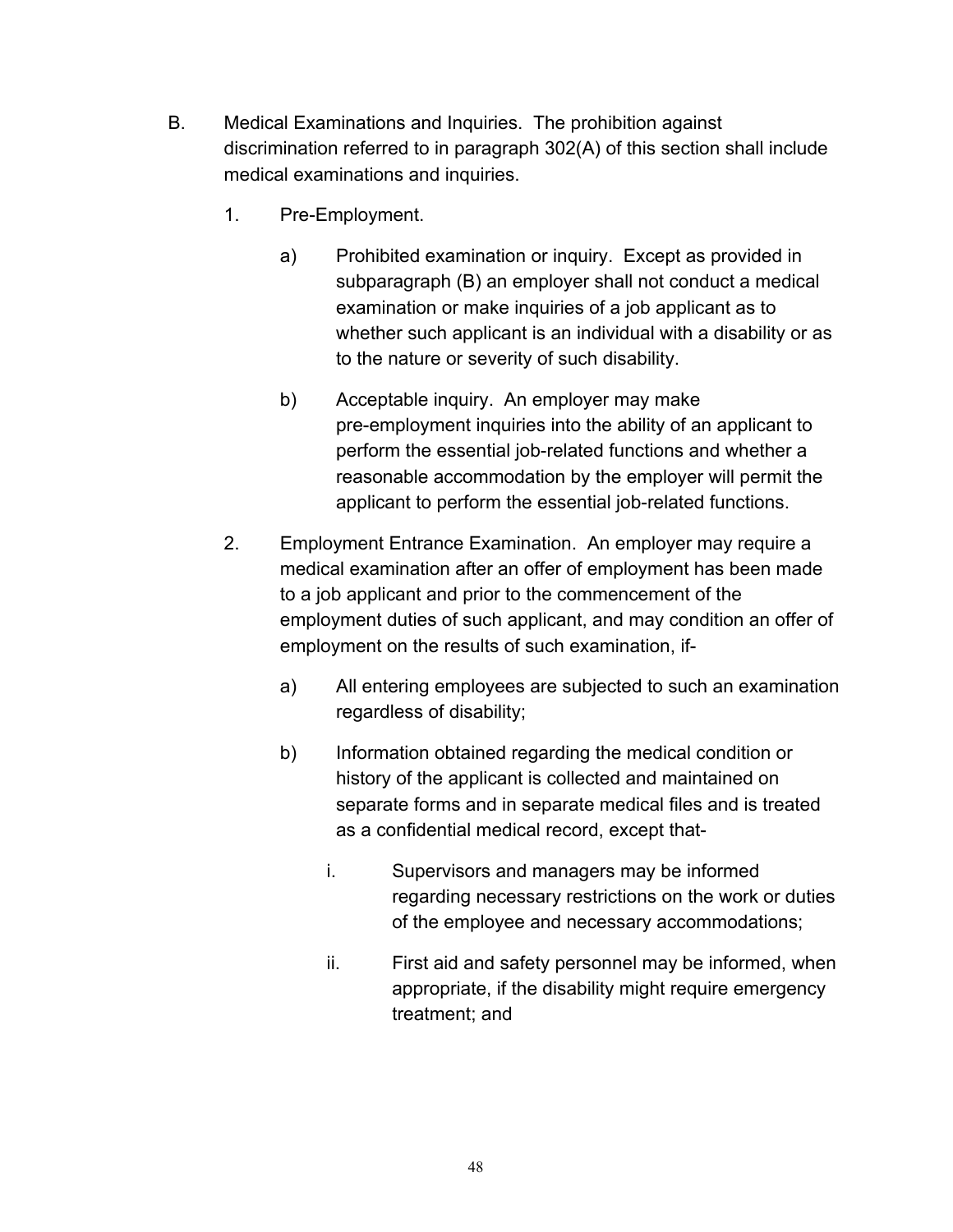- B. Medical Examinations and Inquiries. The prohibition against discrimination referred to in paragraph 302(A) of this section shall include medical examinations and inquiries.
	- 1. Pre-Employment.
		- a) Prohibited examination or inquiry. Except as provided in subparagraph (B) an employer shall not conduct a medical examination or make inquiries of a job applicant as to whether such applicant is an individual with a disability or as to the nature or severity of such disability.
		- b) Acceptable inquiry. An employer may make pre-employment inquiries into the ability of an applicant to perform the essential job-related functions and whether a reasonable accommodation by the employer will permit the applicant to perform the essential job-related functions.
	- 2. Employment Entrance Examination. An employer may require a medical examination after an offer of employment has been made to a job applicant and prior to the commencement of the employment duties of such applicant, and may condition an offer of employment on the results of such examination, if
		- a) All entering employees are subjected to such an examination regardless of disability;
		- b) Information obtained regarding the medical condition or history of the applicant is collected and maintained on separate forms and in separate medical files and is treated as a confidential medical record, except that
			- i. Supervisors and managers may be informed regarding necessary restrictions on the work or duties of the employee and necessary accommodations;
			- ii. First aid and safety personnel may be informed, when appropriate, if the disability might require emergency treatment; and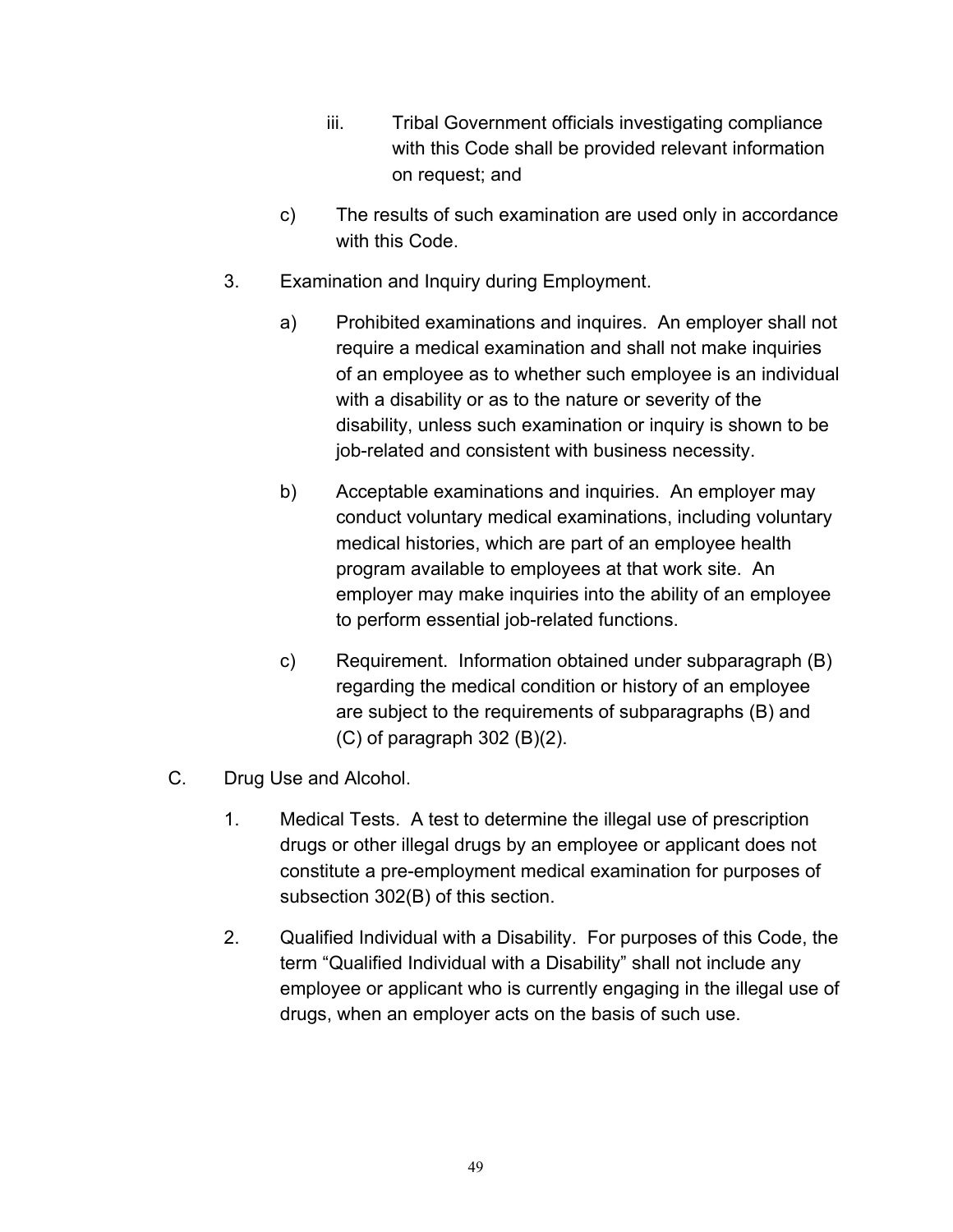- iii. Tribal Government officials investigating compliance with this Code shall be provided relevant information on request; and
- c) The results of such examination are used only in accordance with this Code.
- 3. Examination and Inquiry during Employment.
	- a) Prohibited examinations and inquires. An employer shall not require a medical examination and shall not make inquiries of an employee as to whether such employee is an individual with a disability or as to the nature or severity of the disability, unless such examination or inquiry is shown to be job-related and consistent with business necessity.
	- b) Acceptable examinations and inquiries. An employer may conduct voluntary medical examinations, including voluntary medical histories, which are part of an employee health program available to employees at that work site. An employer may make inquiries into the ability of an employee to perform essential job-related functions.
	- c) Requirement. Information obtained under subparagraph (B) regarding the medical condition or history of an employee are subject to the requirements of subparagraphs (B) and (C) of paragraph 302 (B)(2).
- C. Drug Use and Alcohol.
	- 1. Medical Tests. A test to determine the illegal use of prescription drugs or other illegal drugs by an employee or applicant does not constitute a pre-employment medical examination for purposes of subsection 302(B) of this section.
	- 2. Qualified Individual with a Disability. For purposes of this Code, the term "Qualified Individual with a Disability" shall not include any employee or applicant who is currently engaging in the illegal use of drugs, when an employer acts on the basis of such use.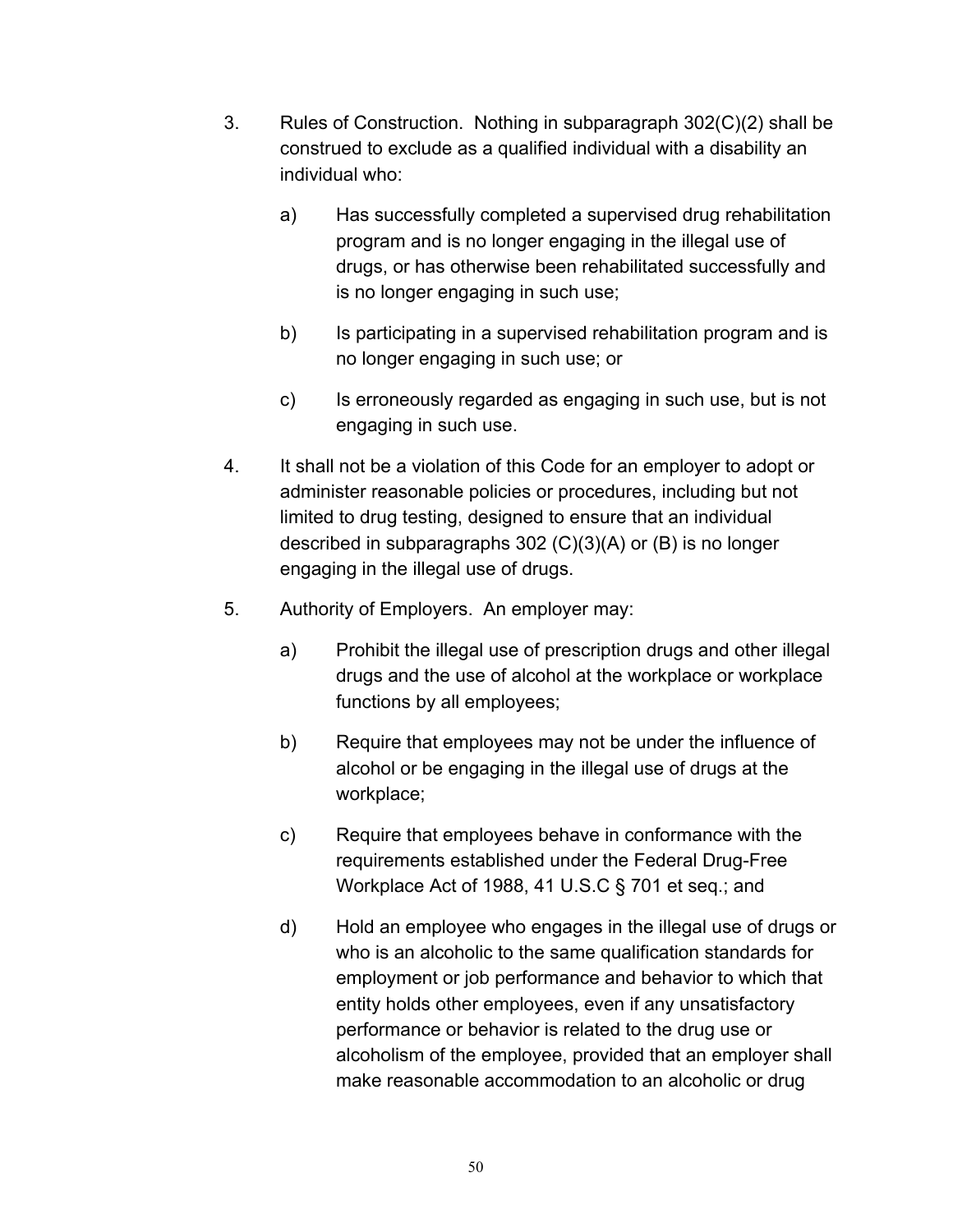- 3. Rules of Construction. Nothing in subparagraph 302(C)(2) shall be construed to exclude as a qualified individual with a disability an individual who:
	- a) Has successfully completed a supervised drug rehabilitation program and is no longer engaging in the illegal use of drugs, or has otherwise been rehabilitated successfully and is no longer engaging in such use;
	- b) Is participating in a supervised rehabilitation program and is no longer engaging in such use; or
	- c) Is erroneously regarded as engaging in such use, but is not engaging in such use.
- 4. It shall not be a violation of this Code for an employer to adopt or administer reasonable policies or procedures, including but not limited to drug testing, designed to ensure that an individual described in subparagraphs 302 (C)(3)(A) or (B) is no longer engaging in the illegal use of drugs.
- 5. Authority of Employers. An employer may:
	- a) Prohibit the illegal use of prescription drugs and other illegal drugs and the use of alcohol at the workplace or workplace functions by all employees;
	- b) Require that employees may not be under the influence of alcohol or be engaging in the illegal use of drugs at the workplace;
	- c) Require that employees behave in conformance with the requirements established under the Federal Drug-Free Workplace Act of 1988, 41 U.S.C § 701 et seq.; and
	- d) Hold an employee who engages in the illegal use of drugs or who is an alcoholic to the same qualification standards for employment or job performance and behavior to which that entity holds other employees, even if any unsatisfactory performance or behavior is related to the drug use or alcoholism of the employee, provided that an employer shall make reasonable accommodation to an alcoholic or drug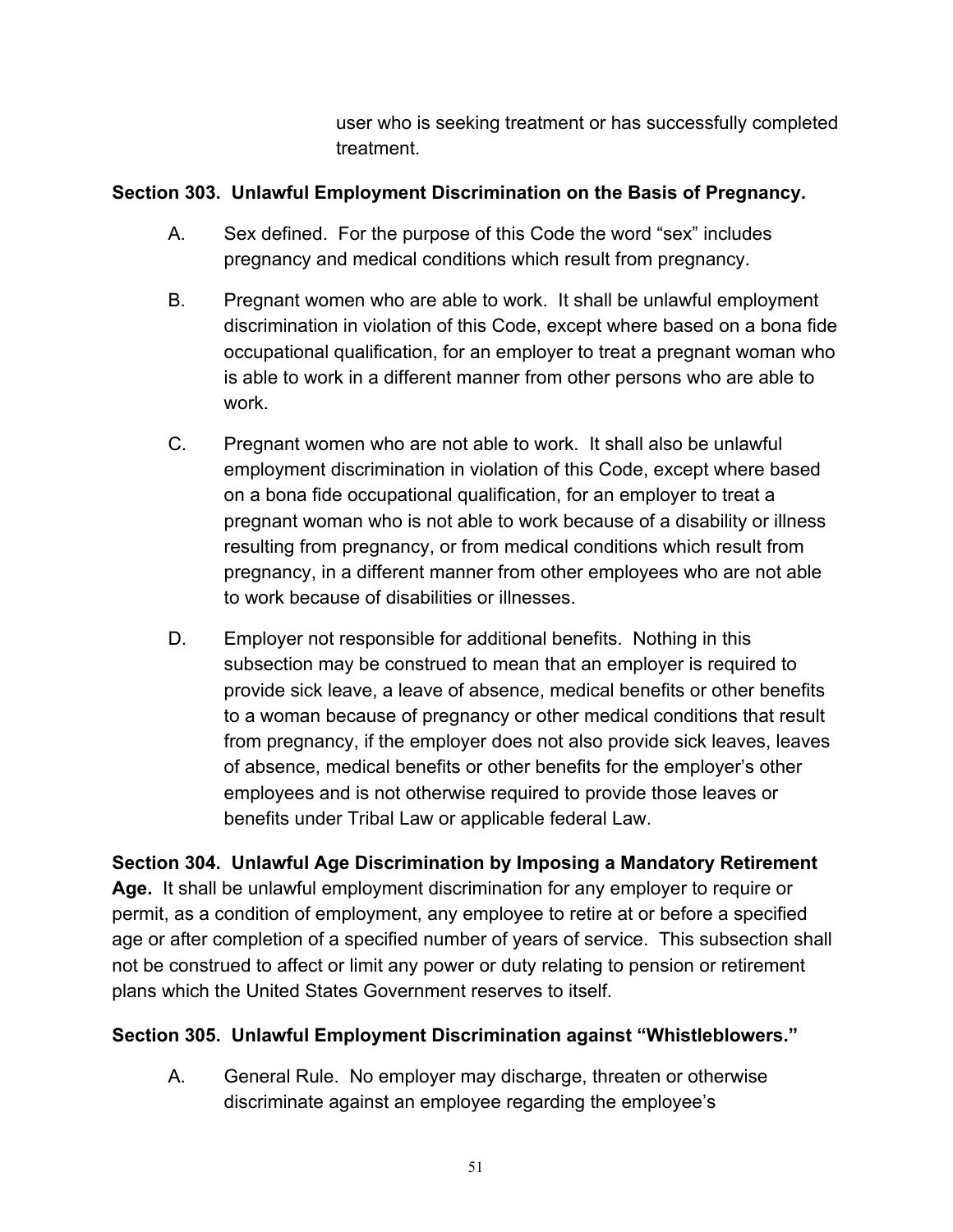user who is seeking treatment or has successfully completed treatment.

### **Section 303. Unlawful Employment Discrimination on the Basis of Pregnancy.**

- A. Sex defined. For the purpose of this Code the word "sex" includes pregnancy and medical conditions which result from pregnancy.
- B. Pregnant women who are able to work. It shall be unlawful employment discrimination in violation of this Code, except where based on a bona fide occupational qualification, for an employer to treat a pregnant woman who is able to work in a different manner from other persons who are able to work.
- C. Pregnant women who are not able to work. It shall also be unlawful employment discrimination in violation of this Code, except where based on a bona fide occupational qualification, for an employer to treat a pregnant woman who is not able to work because of a disability or illness resulting from pregnancy, or from medical conditions which result from pregnancy, in a different manner from other employees who are not able to work because of disabilities or illnesses.
- D. Employer not responsible for additional benefits. Nothing in this subsection may be construed to mean that an employer is required to provide sick leave, a leave of absence, medical benefits or other benefits to a woman because of pregnancy or other medical conditions that result from pregnancy, if the employer does not also provide sick leaves, leaves of absence, medical benefits or other benefits for the employer's other employees and is not otherwise required to provide those leaves or benefits under Tribal Law or applicable federal Law.

**Section 304. Unlawful Age Discrimination by Imposing a Mandatory Retirement Age.** It shall be unlawful employment discrimination for any employer to require or permit, as a condition of employment, any employee to retire at or before a specified age or after completion of a specified number of years of service. This subsection shall not be construed to affect or limit any power or duty relating to pension or retirement plans which the United States Government reserves to itself.

### **Section 305. Unlawful Employment Discrimination against "Whistleblowers."**

A. General Rule. No employer may discharge, threaten or otherwise discriminate against an employee regarding the employee's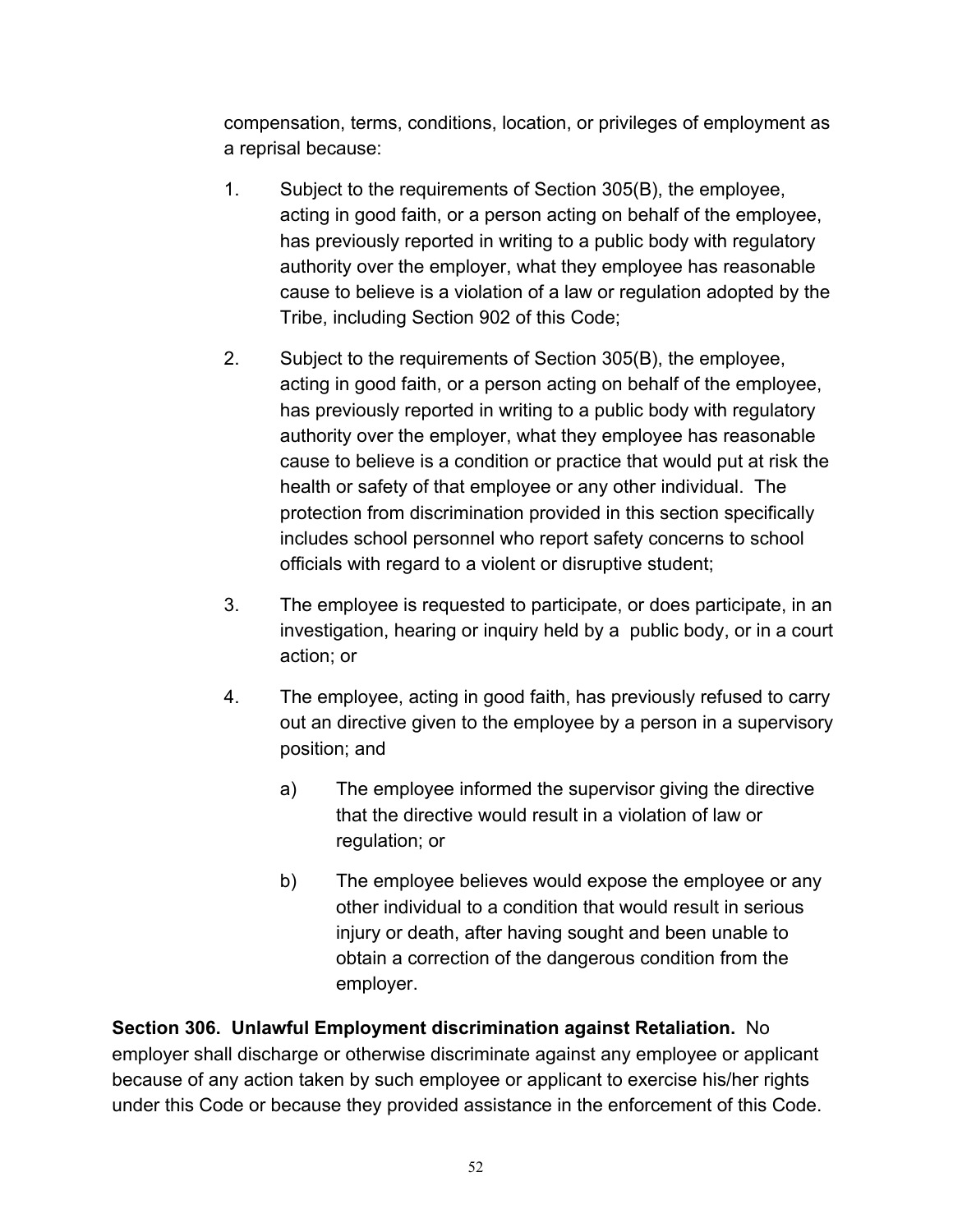compensation, terms, conditions, location, or privileges of employment as a reprisal because:

- 1. Subject to the requirements of Section 305(B), the employee, acting in good faith, or a person acting on behalf of the employee, has previously reported in writing to a public body with regulatory authority over the employer, what they employee has reasonable cause to believe is a violation of a law or regulation adopted by the Tribe, including Section 902 of this Code;
- 2. Subject to the requirements of Section 305(B), the employee, acting in good faith, or a person acting on behalf of the employee, has previously reported in writing to a public body with regulatory authority over the employer, what they employee has reasonable cause to believe is a condition or practice that would put at risk the health or safety of that employee or any other individual. The protection from discrimination provided in this section specifically includes school personnel who report safety concerns to school officials with regard to a violent or disruptive student;
- 3. The employee is requested to participate, or does participate, in an investigation, hearing or inquiry held by a public body, or in a court action; or
- 4. The employee, acting in good faith, has previously refused to carry out an directive given to the employee by a person in a supervisory position; and
	- a) The employee informed the supervisor giving the directive that the directive would result in a violation of law or regulation; or
	- b) The employee believes would expose the employee or any other individual to a condition that would result in serious injury or death, after having sought and been unable to obtain a correction of the dangerous condition from the employer.

**Section 306. Unlawful Employment discrimination against Retaliation.** No employer shall discharge or otherwise discriminate against any employee or applicant because of any action taken by such employee or applicant to exercise his/her rights under this Code or because they provided assistance in the enforcement of this Code.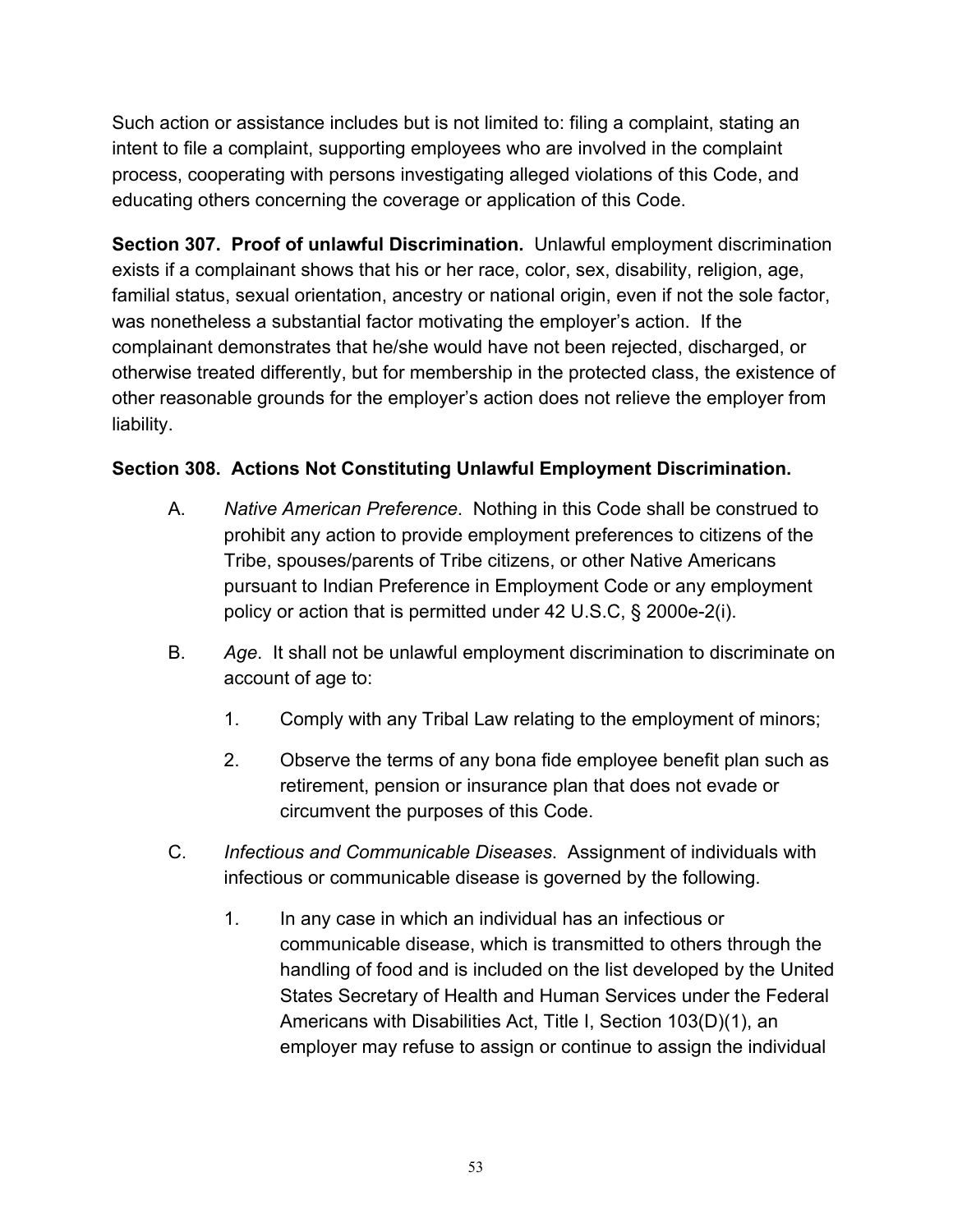Such action or assistance includes but is not limited to: filing a complaint, stating an intent to file a complaint, supporting employees who are involved in the complaint process, cooperating with persons investigating alleged violations of this Code, and educating others concerning the coverage or application of this Code.

**Section 307. Proof of unlawful Discrimination.** Unlawful employment discrimination exists if a complainant shows that his or her race, color, sex, disability, religion, age, familial status, sexual orientation, ancestry or national origin, even if not the sole factor, was nonetheless a substantial factor motivating the employer's action. If the complainant demonstrates that he/she would have not been rejected, discharged, or otherwise treated differently, but for membership in the protected class, the existence of other reasonable grounds for the employer's action does not relieve the employer from liability.

## **Section 308. Actions Not Constituting Unlawful Employment Discrimination.**

- A. *Native American Preference*. Nothing in this Code shall be construed to prohibit any action to provide employment preferences to citizens of the Tribe, spouses/parents of Tribe citizens, or other Native Americans pursuant to Indian Preference in Employment Code or any employment policy or action that is permitted under 42 U.S.C, § 2000e-2(i).
- B. *Age*. It shall not be unlawful employment discrimination to discriminate on account of age to:
	- 1. Comply with any Tribal Law relating to the employment of minors;
	- 2. Observe the terms of any bona fide employee benefit plan such as retirement, pension or insurance plan that does not evade or circumvent the purposes of this Code.
- C. *Infectious and Communicable Diseases*. Assignment of individuals with infectious or communicable disease is governed by the following.
	- 1. In any case in which an individual has an infectious or communicable disease, which is transmitted to others through the handling of food and is included on the list developed by the United States Secretary of Health and Human Services under the Federal Americans with Disabilities Act, Title I, Section 103(D)(1), an employer may refuse to assign or continue to assign the individual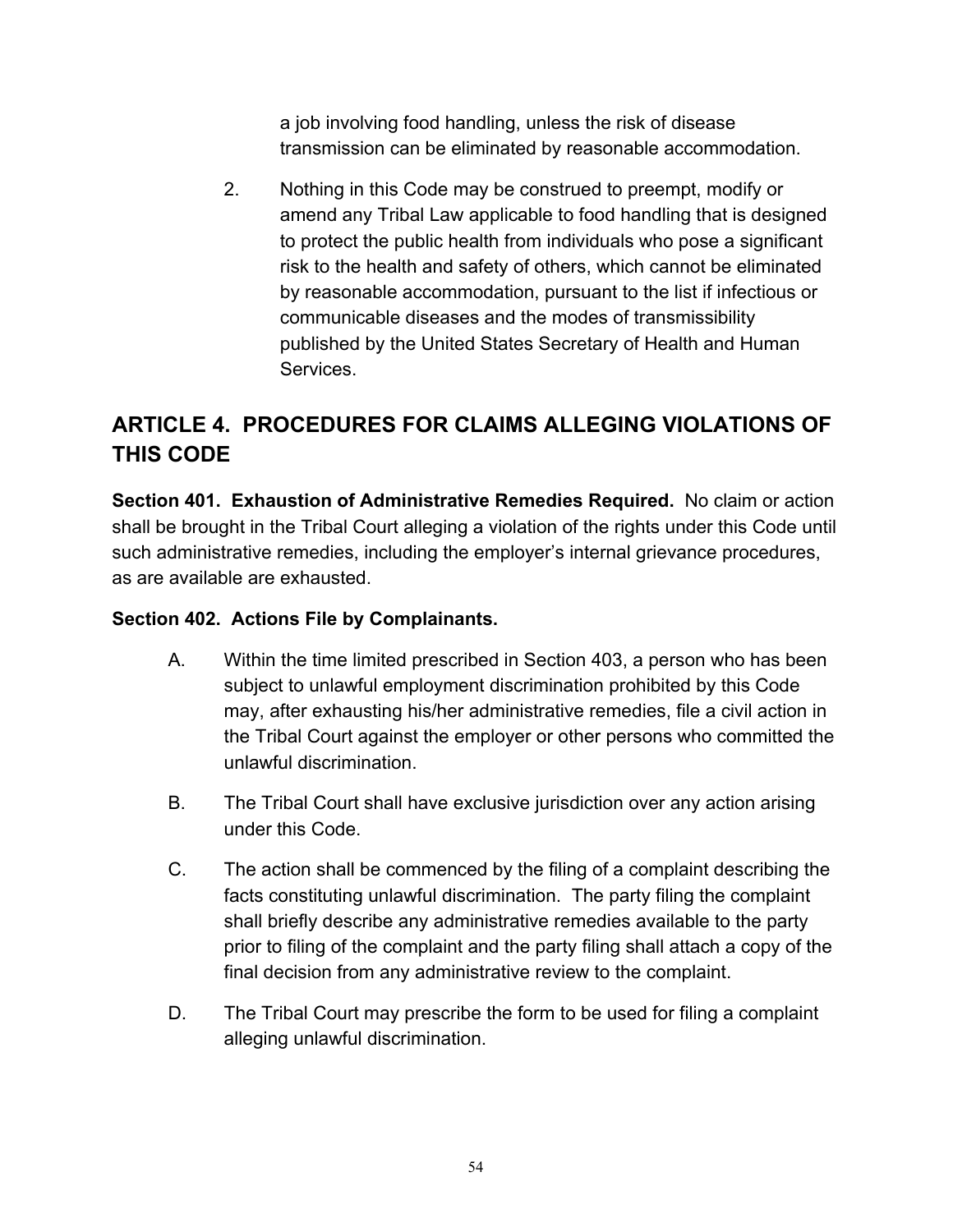a job involving food handling, unless the risk of disease transmission can be eliminated by reasonable accommodation.

2. Nothing in this Code may be construed to preempt, modify or amend any Tribal Law applicable to food handling that is designed to protect the public health from individuals who pose a significant risk to the health and safety of others, which cannot be eliminated by reasonable accommodation, pursuant to the list if infectious or communicable diseases and the modes of transmissibility published by the United States Secretary of Health and Human Services.

# **ARTICLE 4. PROCEDURES FOR CLAIMS ALLEGING VIOLATIONS OF THIS CODE**

**Section 401. Exhaustion of Administrative Remedies Required.** No claim or action shall be brought in the Tribal Court alleging a violation of the rights under this Code until such administrative remedies, including the employer's internal grievance procedures, as are available are exhausted.

### **Section 402. Actions File by Complainants.**

- A. Within the time limited prescribed in Section 403, a person who has been subject to unlawful employment discrimination prohibited by this Code may, after exhausting his/her administrative remedies, file a civil action in the Tribal Court against the employer or other persons who committed the unlawful discrimination.
- B. The Tribal Court shall have exclusive jurisdiction over any action arising under this Code.
- C. The action shall be commenced by the filing of a complaint describing the facts constituting unlawful discrimination. The party filing the complaint shall briefly describe any administrative remedies available to the party prior to filing of the complaint and the party filing shall attach a copy of the final decision from any administrative review to the complaint.
- D. The Tribal Court may prescribe the form to be used for filing a complaint alleging unlawful discrimination.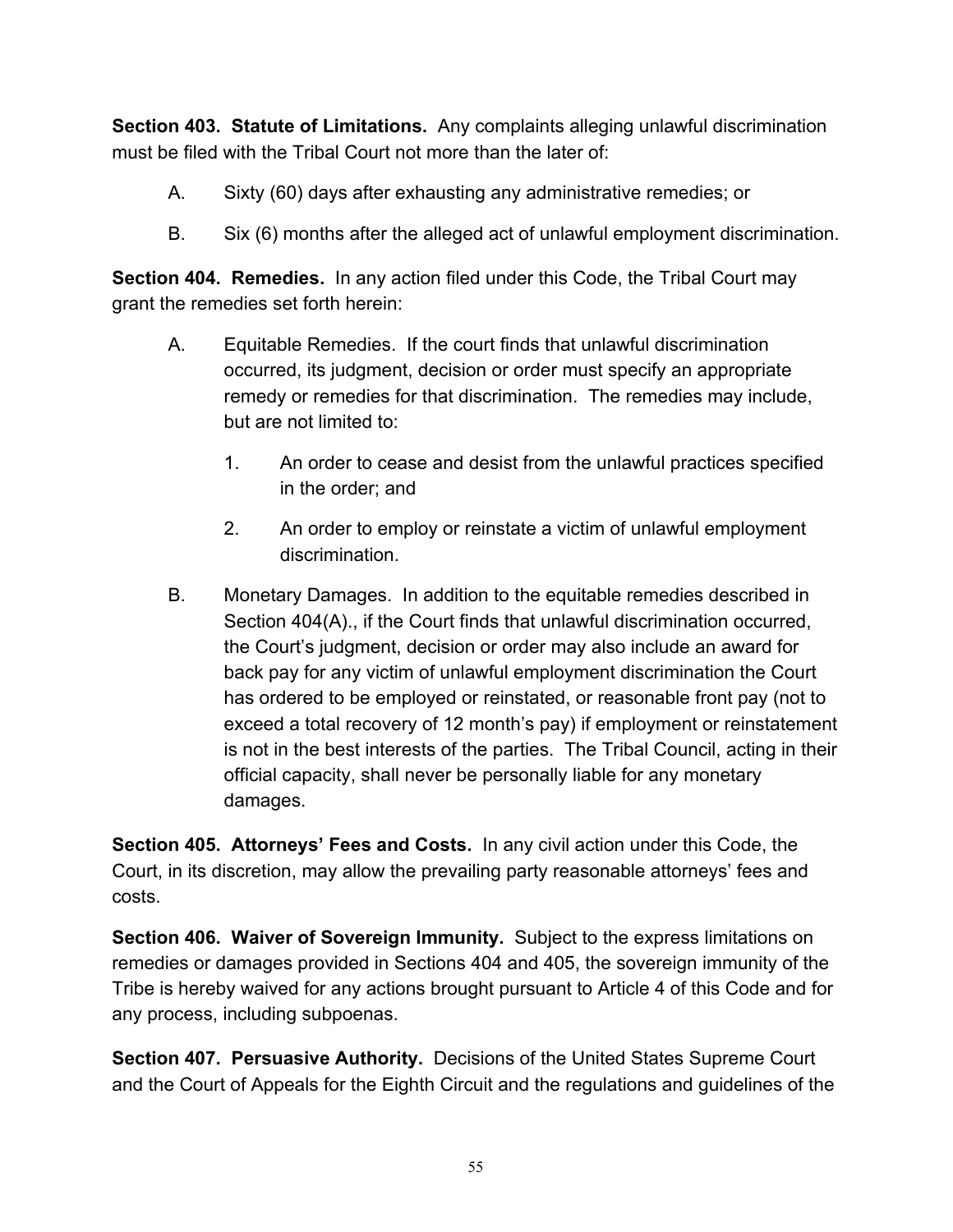**Section 403. Statute of Limitations.** Any complaints alleging unlawful discrimination must be filed with the Tribal Court not more than the later of:

- A. Sixty (60) days after exhausting any administrative remedies; or
- B. Six (6) months after the alleged act of unlawful employment discrimination.

**Section 404. Remedies.** In any action filed under this Code, the Tribal Court may grant the remedies set forth herein:

- A. Equitable Remedies. If the court finds that unlawful discrimination occurred, its judgment, decision or order must specify an appropriate remedy or remedies for that discrimination. The remedies may include, but are not limited to:
	- 1. An order to cease and desist from the unlawful practices specified in the order; and
	- 2. An order to employ or reinstate a victim of unlawful employment discrimination.
- B. Monetary Damages. In addition to the equitable remedies described in Section 404(A)., if the Court finds that unlawful discrimination occurred, the Court's judgment, decision or order may also include an award for back pay for any victim of unlawful employment discrimination the Court has ordered to be employed or reinstated, or reasonable front pay (not to exceed a total recovery of 12 month's pay) if employment or reinstatement is not in the best interests of the parties. The Tribal Council, acting in their official capacity, shall never be personally liable for any monetary damages.

**Section 405. Attorneys' Fees and Costs.** In any civil action under this Code, the Court, in its discretion, may allow the prevailing party reasonable attorneys' fees and costs.

**Section 406. Waiver of Sovereign Immunity.** Subject to the express limitations on remedies or damages provided in Sections 404 and 405, the sovereign immunity of the Tribe is hereby waived for any actions brought pursuant to Article 4 of this Code and for any process, including subpoenas.

**Section 407. Persuasive Authority.** Decisions of the United States Supreme Court and the Court of Appeals for the Eighth Circuit and the regulations and guidelines of the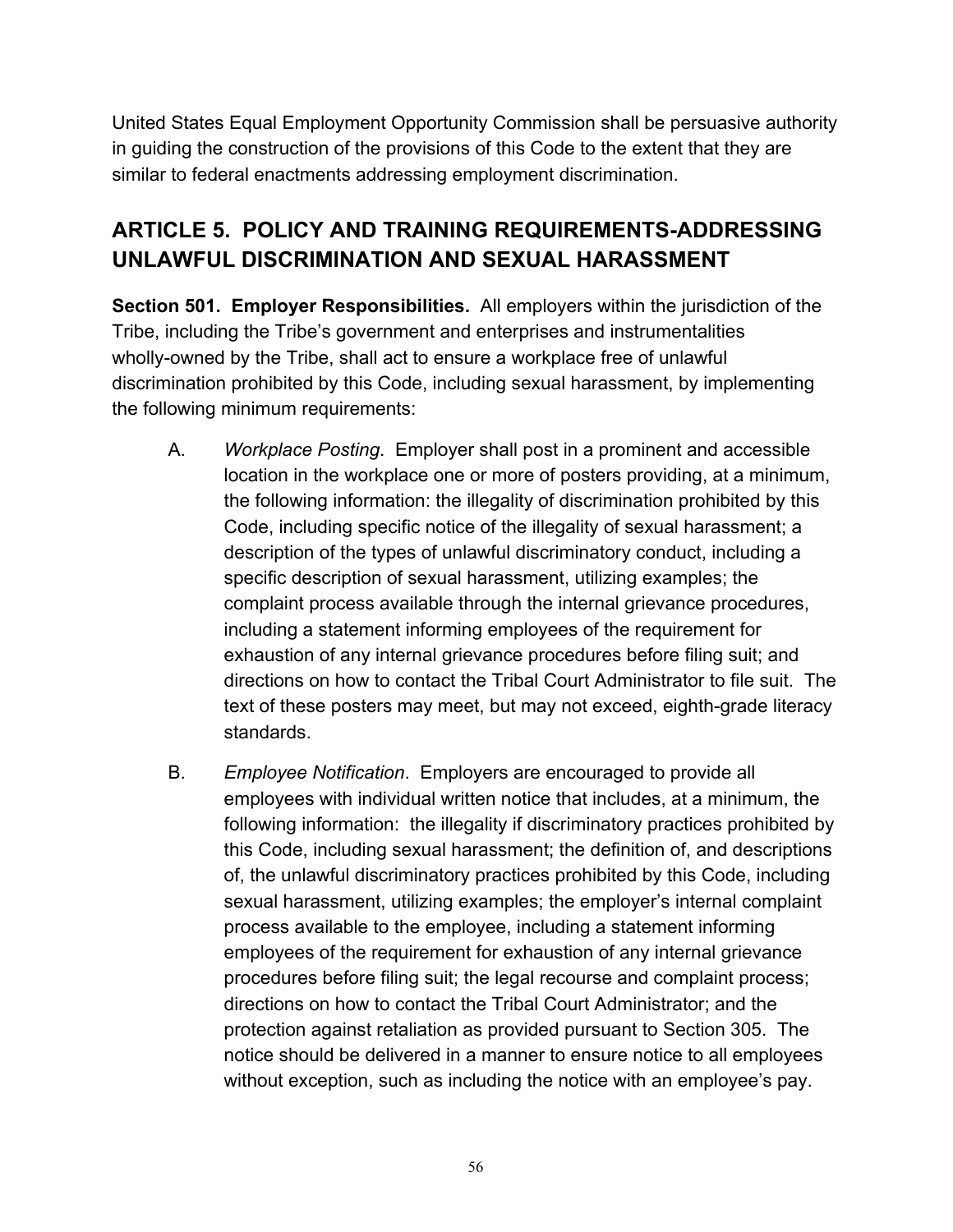United States Equal Employment Opportunity Commission shall be persuasive authority in guiding the construction of the provisions of this Code to the extent that they are similar to federal enactments addressing employment discrimination.

# **ARTICLE 5. POLICY AND TRAINING REQUIREMENTS-ADDRESSING UNLAWFUL DISCRIMINATION AND SEXUAL HARASSMENT**

**Section 501. Employer Responsibilities.** All employers within the jurisdiction of the Tribe, including the Tribe's government and enterprises and instrumentalities wholly-owned by the Tribe, shall act to ensure a workplace free of unlawful discrimination prohibited by this Code, including sexual harassment, by implementing the following minimum requirements:

- A. *Workplace Posting*. Employer shall post in a prominent and accessible location in the workplace one or more of posters providing, at a minimum, the following information: the illegality of discrimination prohibited by this Code, including specific notice of the illegality of sexual harassment; a description of the types of unlawful discriminatory conduct, including a specific description of sexual harassment, utilizing examples; the complaint process available through the internal grievance procedures, including a statement informing employees of the requirement for exhaustion of any internal grievance procedures before filing suit; and directions on how to contact the Tribal Court Administrator to file suit. The text of these posters may meet, but may not exceed, eighth-grade literacy standards.
- B. *Employee Notification*. Employers are encouraged to provide all employees with individual written notice that includes, at a minimum, the following information: the illegality if discriminatory practices prohibited by this Code, including sexual harassment; the definition of, and descriptions of, the unlawful discriminatory practices prohibited by this Code, including sexual harassment, utilizing examples; the employer's internal complaint process available to the employee, including a statement informing employees of the requirement for exhaustion of any internal grievance procedures before filing suit; the legal recourse and complaint process; directions on how to contact the Tribal Court Administrator; and the protection against retaliation as provided pursuant to Section 305. The notice should be delivered in a manner to ensure notice to all employees without exception, such as including the notice with an employee's pay.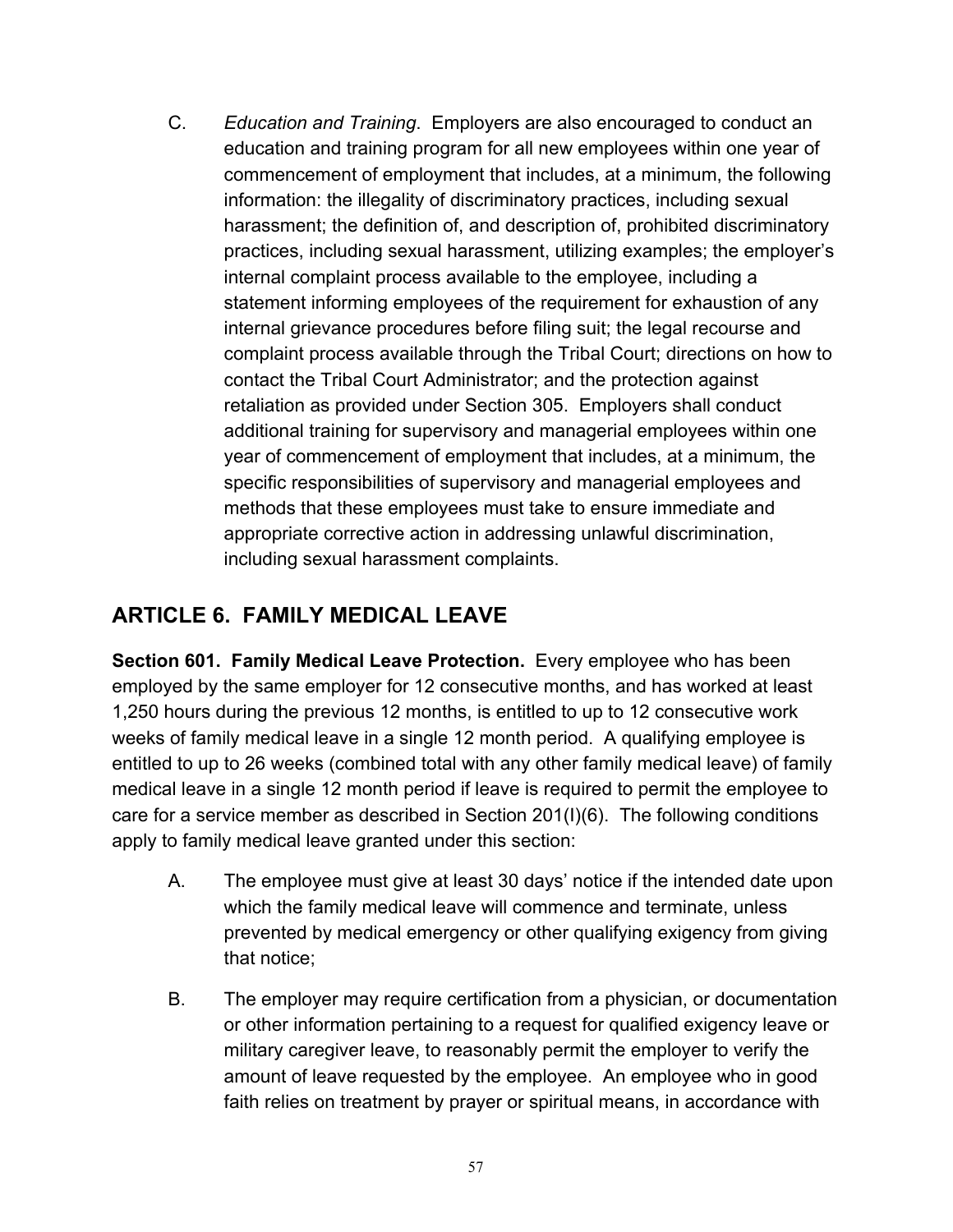C. *Education and Training*. Employers are also encouraged to conduct an education and training program for all new employees within one year of commencement of employment that includes, at a minimum, the following information: the illegality of discriminatory practices, including sexual harassment; the definition of, and description of, prohibited discriminatory practices, including sexual harassment, utilizing examples; the employer's internal complaint process available to the employee, including a statement informing employees of the requirement for exhaustion of any internal grievance procedures before filing suit; the legal recourse and complaint process available through the Tribal Court; directions on how to contact the Tribal Court Administrator; and the protection against retaliation as provided under Section 305. Employers shall conduct additional training for supervisory and managerial employees within one year of commencement of employment that includes, at a minimum, the specific responsibilities of supervisory and managerial employees and methods that these employees must take to ensure immediate and appropriate corrective action in addressing unlawful discrimination, including sexual harassment complaints.

# **ARTICLE 6. FAMILY MEDICAL LEAVE**

**Section 601. Family Medical Leave Protection.** Every employee who has been employed by the same employer for 12 consecutive months, and has worked at least 1,250 hours during the previous 12 months, is entitled to up to 12 consecutive work weeks of family medical leave in a single 12 month period. A qualifying employee is entitled to up to 26 weeks (combined total with any other family medical leave) of family medical leave in a single 12 month period if leave is required to permit the employee to care for a service member as described in Section 201(I)(6). The following conditions apply to family medical leave granted under this section:

- A. The employee must give at least 30 days' notice if the intended date upon which the family medical leave will commence and terminate, unless prevented by medical emergency or other qualifying exigency from giving that notice;
- B. The employer may require certification from a physician, or documentation or other information pertaining to a request for qualified exigency leave or military caregiver leave, to reasonably permit the employer to verify the amount of leave requested by the employee. An employee who in good faith relies on treatment by prayer or spiritual means, in accordance with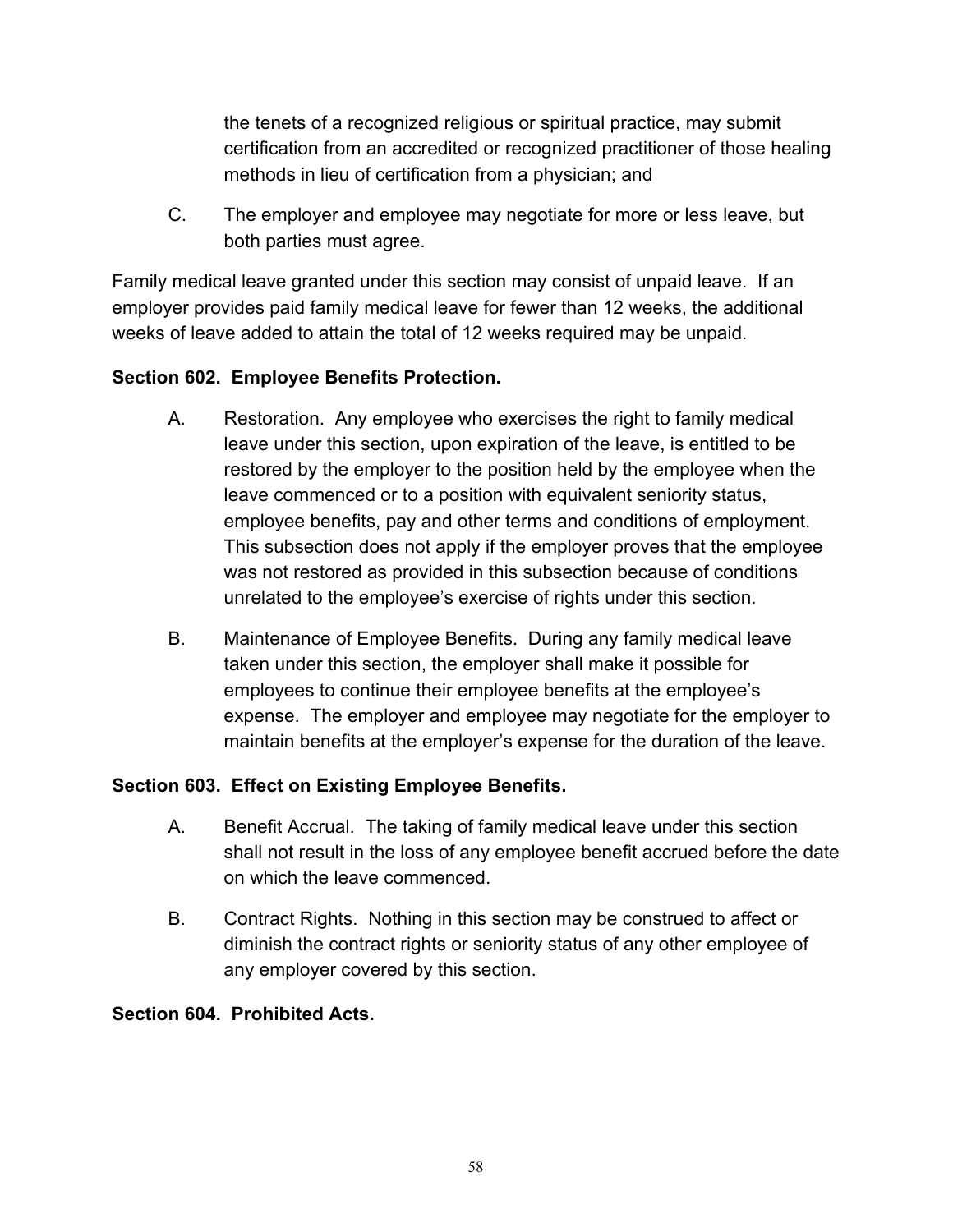the tenets of a recognized religious or spiritual practice, may submit certification from an accredited or recognized practitioner of those healing methods in lieu of certification from a physician; and

C. The employer and employee may negotiate for more or less leave, but both parties must agree.

Family medical leave granted under this section may consist of unpaid leave. If an employer provides paid family medical leave for fewer than 12 weeks, the additional weeks of leave added to attain the total of 12 weeks required may be unpaid.

### **Section 602. Employee Benefits Protection.**

- A. Restoration. Any employee who exercises the right to family medical leave under this section, upon expiration of the leave, is entitled to be restored by the employer to the position held by the employee when the leave commenced or to a position with equivalent seniority status, employee benefits, pay and other terms and conditions of employment. This subsection does not apply if the employer proves that the employee was not restored as provided in this subsection because of conditions unrelated to the employee's exercise of rights under this section.
- B. Maintenance of Employee Benefits. During any family medical leave taken under this section, the employer shall make it possible for employees to continue their employee benefits at the employee's expense. The employer and employee may negotiate for the employer to maintain benefits at the employer's expense for the duration of the leave.

### **Section 603. Effect on Existing Employee Benefits.**

- A. Benefit Accrual. The taking of family medical leave under this section shall not result in the loss of any employee benefit accrued before the date on which the leave commenced.
- B. Contract Rights. Nothing in this section may be construed to affect or diminish the contract rights or seniority status of any other employee of any employer covered by this section.

### **Section 604. Prohibited Acts.**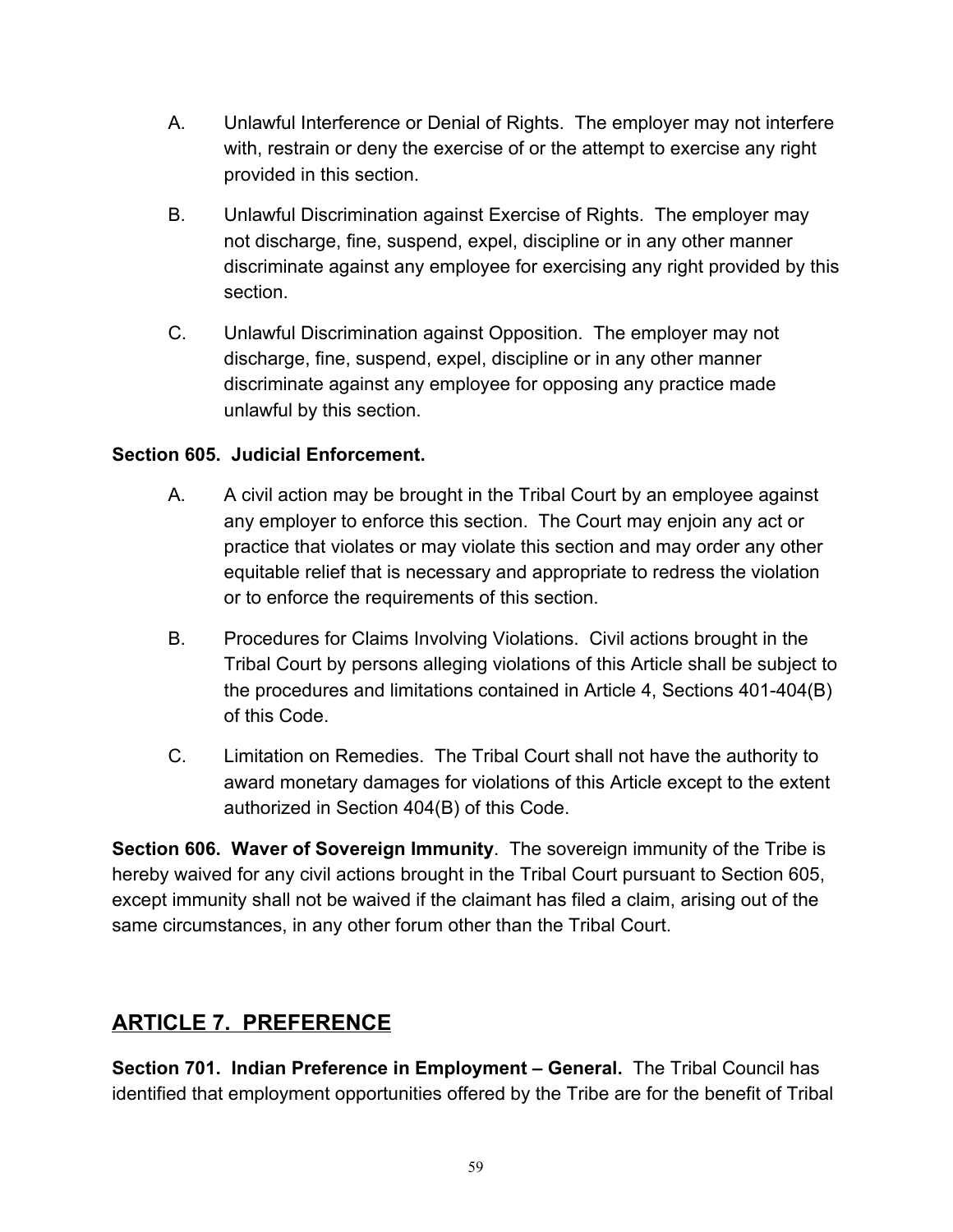- A. Unlawful Interference or Denial of Rights. The employer may not interfere with, restrain or deny the exercise of or the attempt to exercise any right provided in this section.
- B. Unlawful Discrimination against Exercise of Rights. The employer may not discharge, fine, suspend, expel, discipline or in any other manner discriminate against any employee for exercising any right provided by this section.
- C. Unlawful Discrimination against Opposition. The employer may not discharge, fine, suspend, expel, discipline or in any other manner discriminate against any employee for opposing any practice made unlawful by this section.

### **Section 605. Judicial Enforcement.**

- A. A civil action may be brought in the Tribal Court by an employee against any employer to enforce this section. The Court may enjoin any act or practice that violates or may violate this section and may order any other equitable relief that is necessary and appropriate to redress the violation or to enforce the requirements of this section.
- B. Procedures for Claims Involving Violations. Civil actions brought in the Tribal Court by persons alleging violations of this Article shall be subject to the procedures and limitations contained in Article 4, Sections 401-404(B) of this Code.
- C. Limitation on Remedies. The Tribal Court shall not have the authority to award monetary damages for violations of this Article except to the extent authorized in Section 404(B) of this Code.

**Section 606. Waver of Sovereign Immunity**. The sovereign immunity of the Tribe is hereby waived for any civil actions brought in the Tribal Court pursuant to Section 605, except immunity shall not be waived if the claimant has filed a claim, arising out of the same circumstances, in any other forum other than the Tribal Court.

## **ARTICLE 7. PREFERENCE**

**Section 701. Indian Preference in Employment – General.** The Tribal Council has identified that employment opportunities offered by the Tribe are for the benefit of Tribal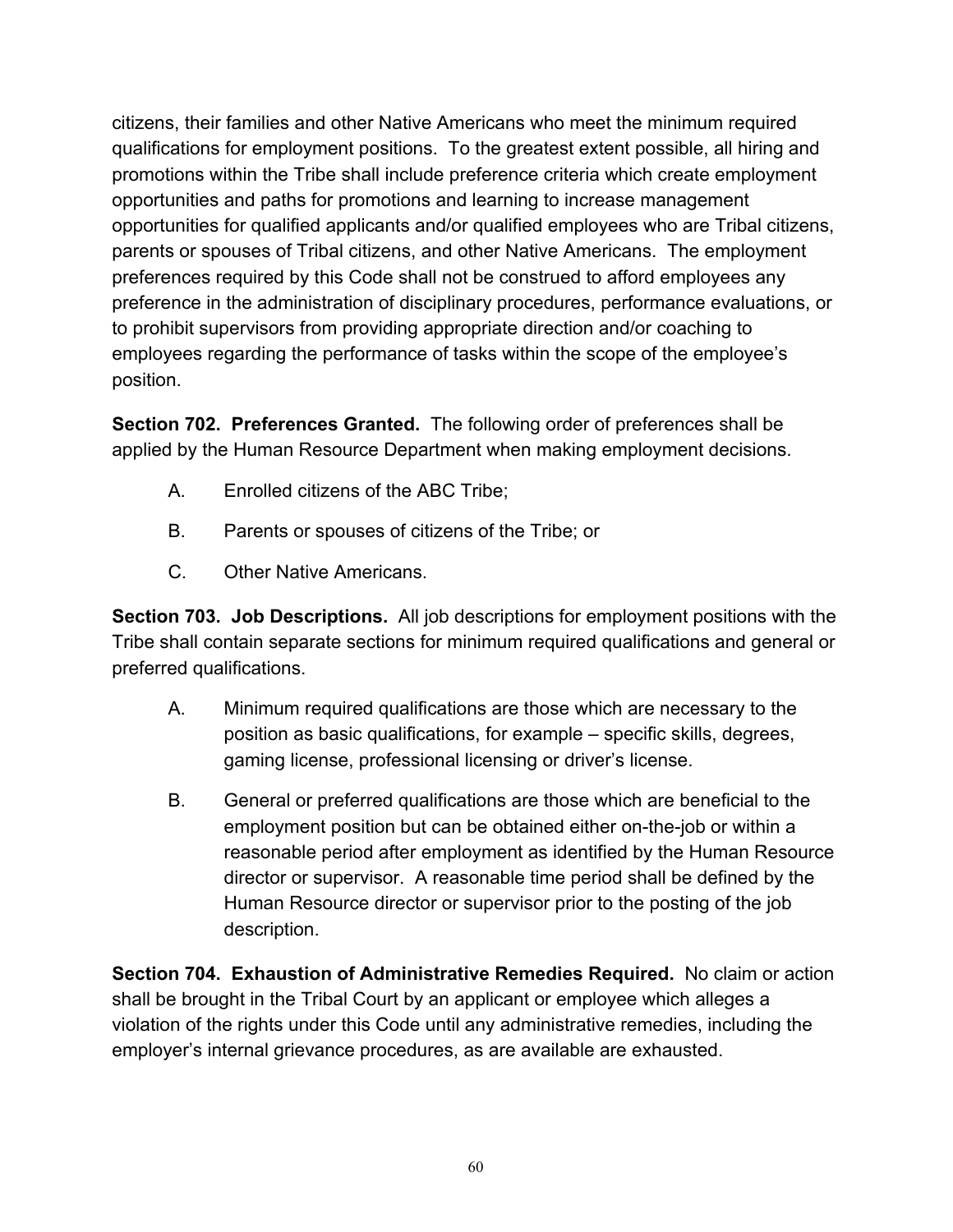citizens, their families and other Native Americans who meet the minimum required qualifications for employment positions. To the greatest extent possible, all hiring and promotions within the Tribe shall include preference criteria which create employment opportunities and paths for promotions and learning to increase management opportunities for qualified applicants and/or qualified employees who are Tribal citizens, parents or spouses of Tribal citizens, and other Native Americans. The employment preferences required by this Code shall not be construed to afford employees any preference in the administration of disciplinary procedures, performance evaluations, or to prohibit supervisors from providing appropriate direction and/or coaching to employees regarding the performance of tasks within the scope of the employee's position.

**Section 702. Preferences Granted.** The following order of preferences shall be applied by the Human Resource Department when making employment decisions.

- A. Enrolled citizens of the ABC Tribe;
- B. Parents or spouses of citizens of the Tribe; or
- C. Other Native Americans.

**Section 703. Job Descriptions.** All job descriptions for employment positions with the Tribe shall contain separate sections for minimum required qualifications and general or preferred qualifications.

- A. Minimum required qualifications are those which are necessary to the position as basic qualifications, for example – specific skills, degrees, gaming license, professional licensing or driver's license.
- B. General or preferred qualifications are those which are beneficial to the employment position but can be obtained either on-the-job or within a reasonable period after employment as identified by the Human Resource director or supervisor. A reasonable time period shall be defined by the Human Resource director or supervisor prior to the posting of the job description.

**Section 704. Exhaustion of Administrative Remedies Required.** No claim or action shall be brought in the Tribal Court by an applicant or employee which alleges a violation of the rights under this Code until any administrative remedies, including the employer's internal grievance procedures, as are available are exhausted.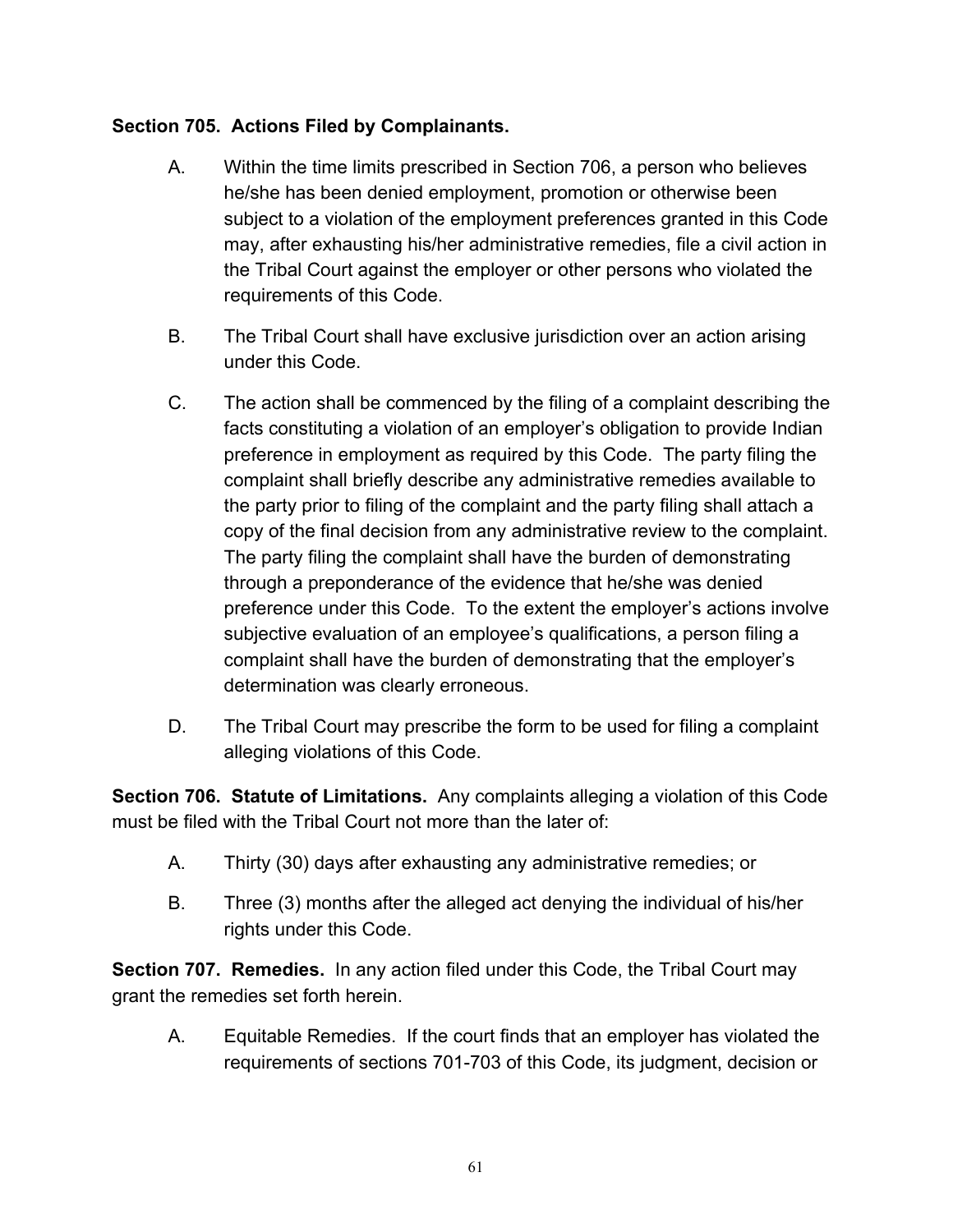### **Section 705. Actions Filed by Complainants.**

- A. Within the time limits prescribed in Section 706, a person who believes he/she has been denied employment, promotion or otherwise been subject to a violation of the employment preferences granted in this Code may, after exhausting his/her administrative remedies, file a civil action in the Tribal Court against the employer or other persons who violated the requirements of this Code.
- B. The Tribal Court shall have exclusive jurisdiction over an action arising under this Code.
- C. The action shall be commenced by the filing of a complaint describing the facts constituting a violation of an employer's obligation to provide Indian preference in employment as required by this Code. The party filing the complaint shall briefly describe any administrative remedies available to the party prior to filing of the complaint and the party filing shall attach a copy of the final decision from any administrative review to the complaint. The party filing the complaint shall have the burden of demonstrating through a preponderance of the evidence that he/she was denied preference under this Code. To the extent the employer's actions involve subjective evaluation of an employee's qualifications, a person filing a complaint shall have the burden of demonstrating that the employer's determination was clearly erroneous.
- D. The Tribal Court may prescribe the form to be used for filing a complaint alleging violations of this Code.

**Section 706. Statute of Limitations.** Any complaints alleging a violation of this Code must be filed with the Tribal Court not more than the later of:

- A. Thirty (30) days after exhausting any administrative remedies; or
- B. Three (3) months after the alleged act denying the individual of his/her rights under this Code.

**Section 707. Remedies.** In any action filed under this Code, the Tribal Court may grant the remedies set forth herein.

A. Equitable Remedies. If the court finds that an employer has violated the requirements of sections 701-703 of this Code, its judgment, decision or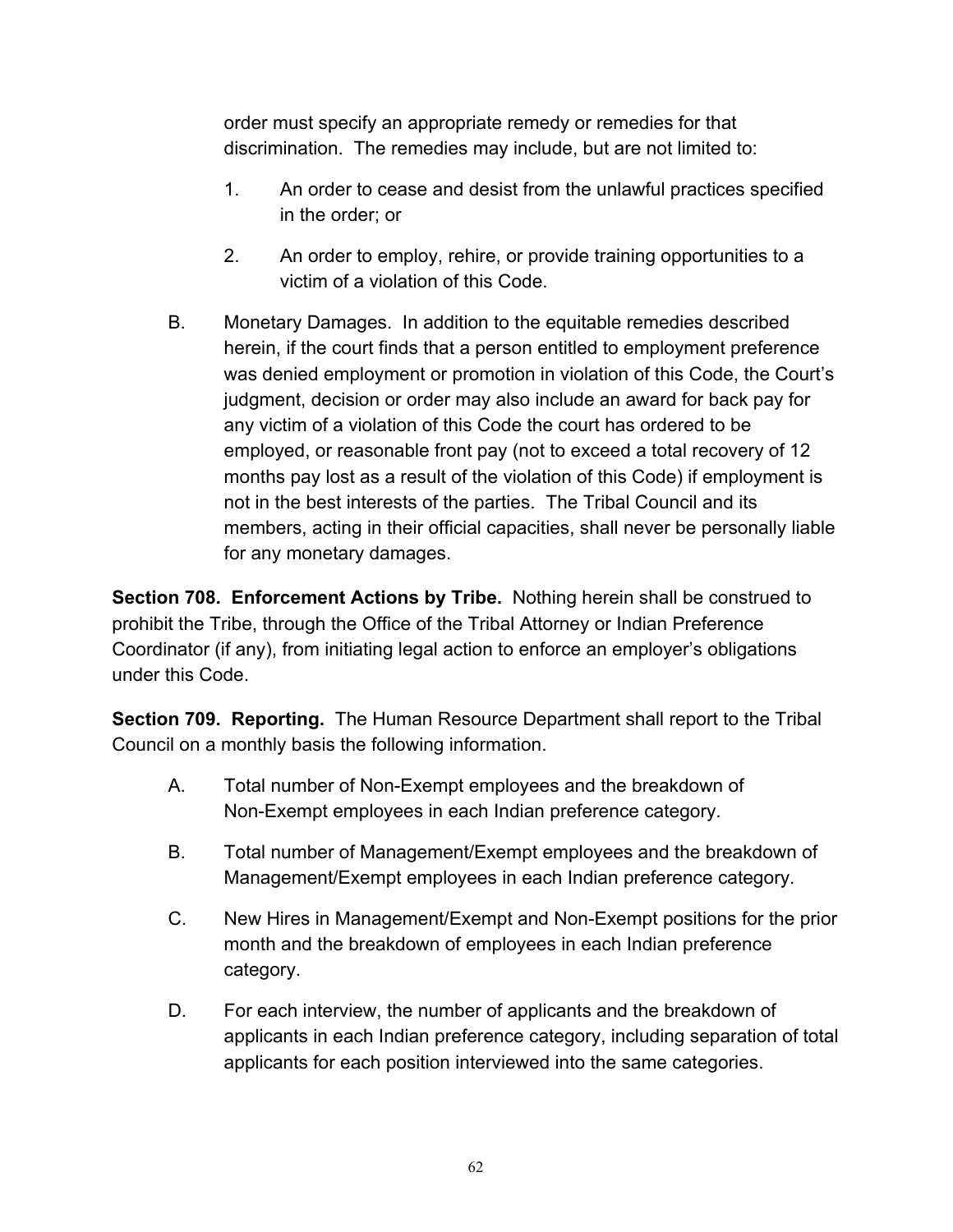order must specify an appropriate remedy or remedies for that discrimination. The remedies may include, but are not limited to:

- 1. An order to cease and desist from the unlawful practices specified in the order; or
- 2. An order to employ, rehire, or provide training opportunities to a victim of a violation of this Code.
- B. Monetary Damages. In addition to the equitable remedies described herein, if the court finds that a person entitled to employment preference was denied employment or promotion in violation of this Code, the Court's judgment, decision or order may also include an award for back pay for any victim of a violation of this Code the court has ordered to be employed, or reasonable front pay (not to exceed a total recovery of 12 months pay lost as a result of the violation of this Code) if employment is not in the best interests of the parties. The Tribal Council and its members, acting in their official capacities, shall never be personally liable for any monetary damages.

**Section 708. Enforcement Actions by Tribe.** Nothing herein shall be construed to prohibit the Tribe, through the Office of the Tribal Attorney or Indian Preference Coordinator (if any), from initiating legal action to enforce an employer's obligations under this Code.

**Section 709. Reporting.** The Human Resource Department shall report to the Tribal Council on a monthly basis the following information.

- A. Total number of Non-Exempt employees and the breakdown of Non-Exempt employees in each Indian preference category.
- B. Total number of Management/Exempt employees and the breakdown of Management/Exempt employees in each Indian preference category.
- C. New Hires in Management/Exempt and Non-Exempt positions for the prior month and the breakdown of employees in each Indian preference category.
- D. For each interview, the number of applicants and the breakdown of applicants in each Indian preference category, including separation of total applicants for each position interviewed into the same categories.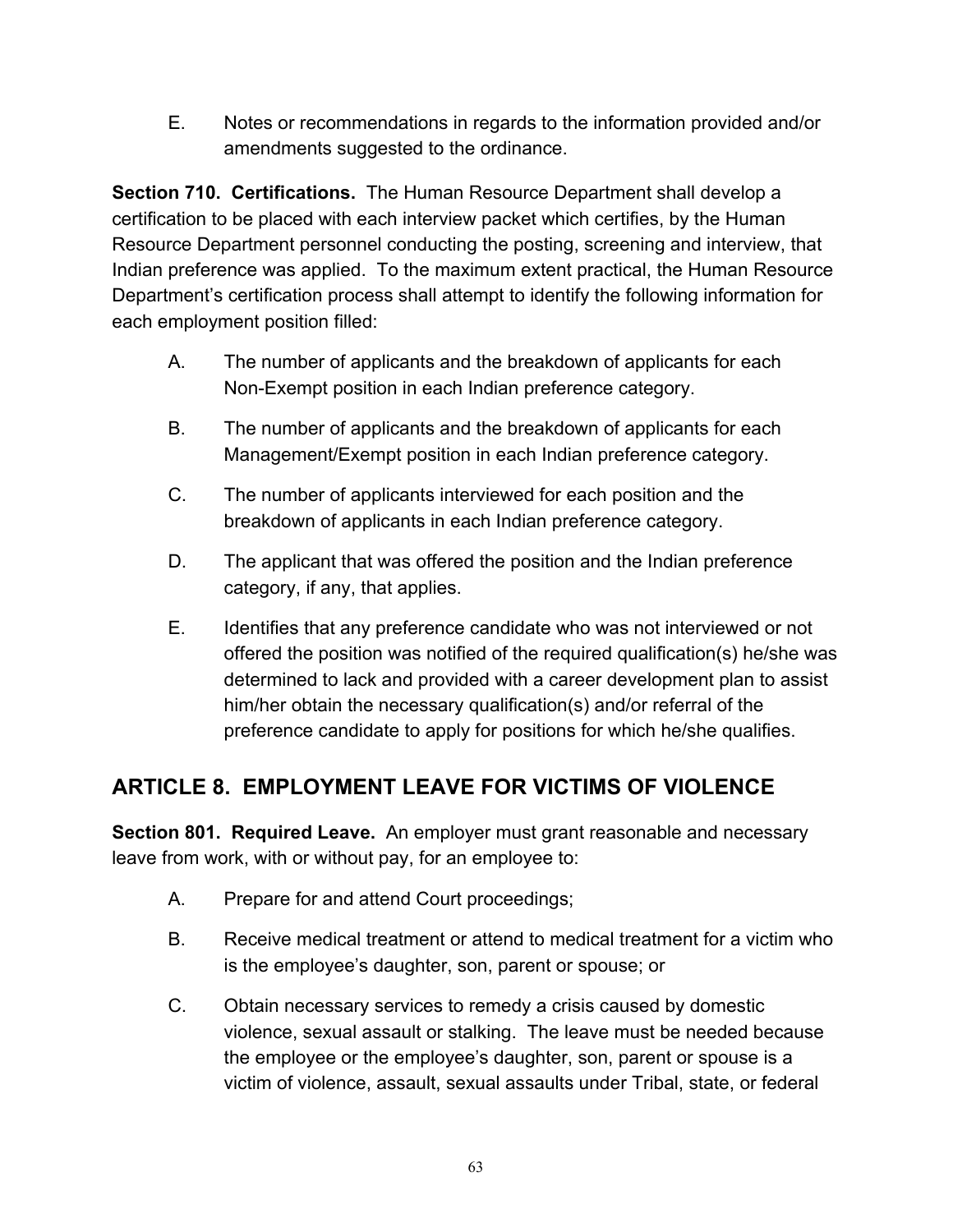E. Notes or recommendations in regards to the information provided and/or amendments suggested to the ordinance.

**Section 710. Certifications.** The Human Resource Department shall develop a certification to be placed with each interview packet which certifies, by the Human Resource Department personnel conducting the posting, screening and interview, that Indian preference was applied. To the maximum extent practical, the Human Resource Department's certification process shall attempt to identify the following information for each employment position filled:

- A. The number of applicants and the breakdown of applicants for each Non-Exempt position in each Indian preference category.
- B. The number of applicants and the breakdown of applicants for each Management/Exempt position in each Indian preference category.
- C. The number of applicants interviewed for each position and the breakdown of applicants in each Indian preference category.
- D. The applicant that was offered the position and the Indian preference category, if any, that applies.
- E. Identifies that any preference candidate who was not interviewed or not offered the position was notified of the required qualification(s) he/she was determined to lack and provided with a career development plan to assist him/her obtain the necessary qualification(s) and/or referral of the preference candidate to apply for positions for which he/she qualifies.

# **ARTICLE 8. EMPLOYMENT LEAVE FOR VICTIMS OF VIOLENCE**

**Section 801. Required Leave.** An employer must grant reasonable and necessary leave from work, with or without pay, for an employee to:

- A. Prepare for and attend Court proceedings;
- B. Receive medical treatment or attend to medical treatment for a victim who is the employee's daughter, son, parent or spouse; or
- C. Obtain necessary services to remedy a crisis caused by domestic violence, sexual assault or stalking. The leave must be needed because the employee or the employee's daughter, son, parent or spouse is a victim of violence, assault, sexual assaults under Tribal, state, or federal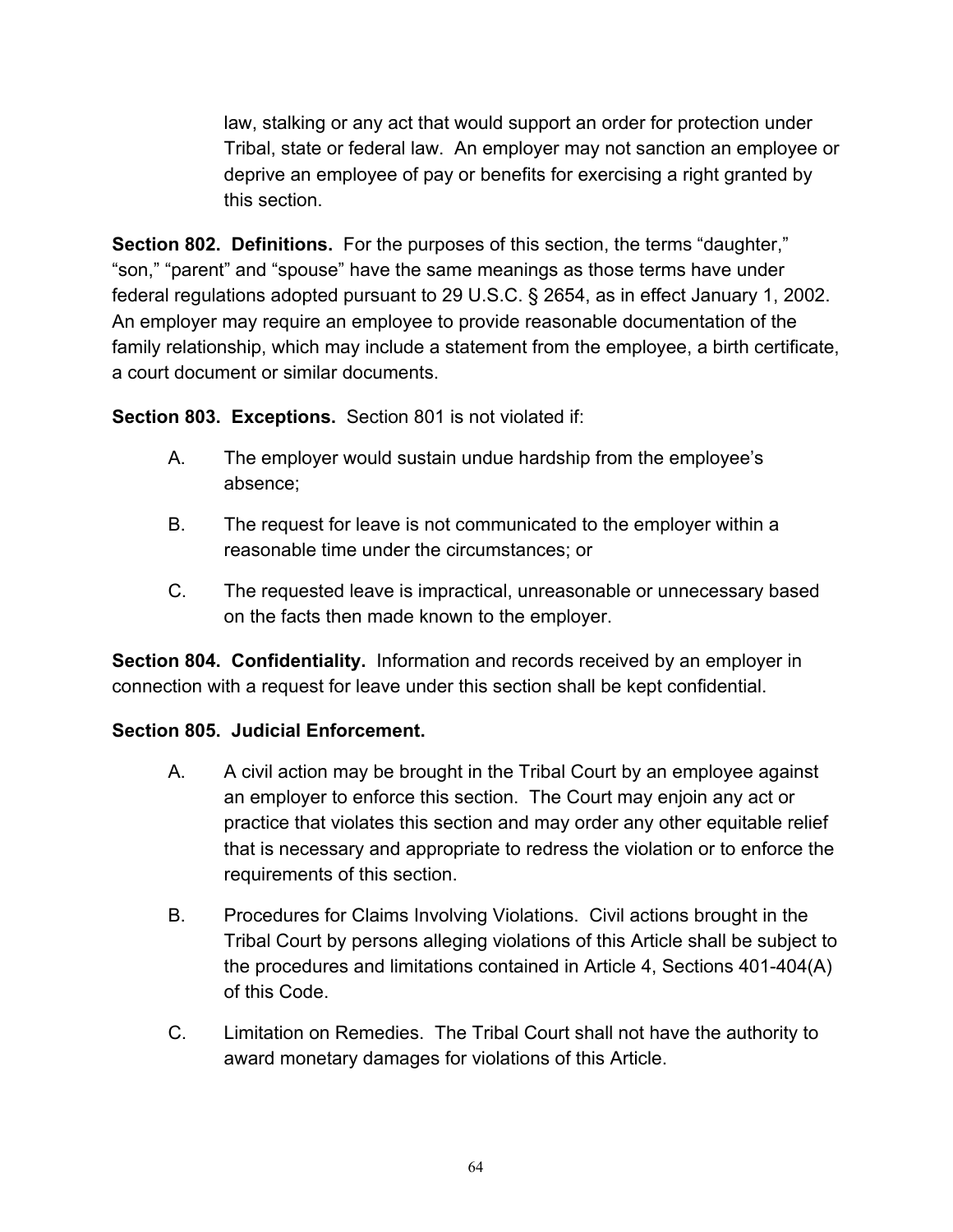law, stalking or any act that would support an order for protection under Tribal, state or federal law. An employer may not sanction an employee or deprive an employee of pay or benefits for exercising a right granted by this section.

**Section 802. Definitions.** For the purposes of this section, the terms "daughter," "son," "parent" and "spouse" have the same meanings as those terms have under federal regulations adopted pursuant to 29 U.S.C. § 2654, as in effect January 1, 2002. An employer may require an employee to provide reasonable documentation of the family relationship, which may include a statement from the employee, a birth certificate, a court document or similar documents.

**Section 803. Exceptions.** Section 801 is not violated if:

- A. The employer would sustain undue hardship from the employee's absence;
- B. The request for leave is not communicated to the employer within a reasonable time under the circumstances; or
- C. The requested leave is impractical, unreasonable or unnecessary based on the facts then made known to the employer.

**Section 804. Confidentiality.** Information and records received by an employer in connection with a request for leave under this section shall be kept confidential.

### **Section 805. Judicial Enforcement.**

- A. A civil action may be brought in the Tribal Court by an employee against an employer to enforce this section. The Court may enjoin any act or practice that violates this section and may order any other equitable relief that is necessary and appropriate to redress the violation or to enforce the requirements of this section.
- B. Procedures for Claims Involving Violations. Civil actions brought in the Tribal Court by persons alleging violations of this Article shall be subject to the procedures and limitations contained in Article 4, Sections 401-404(A) of this Code.
- C. Limitation on Remedies. The Tribal Court shall not have the authority to award monetary damages for violations of this Article.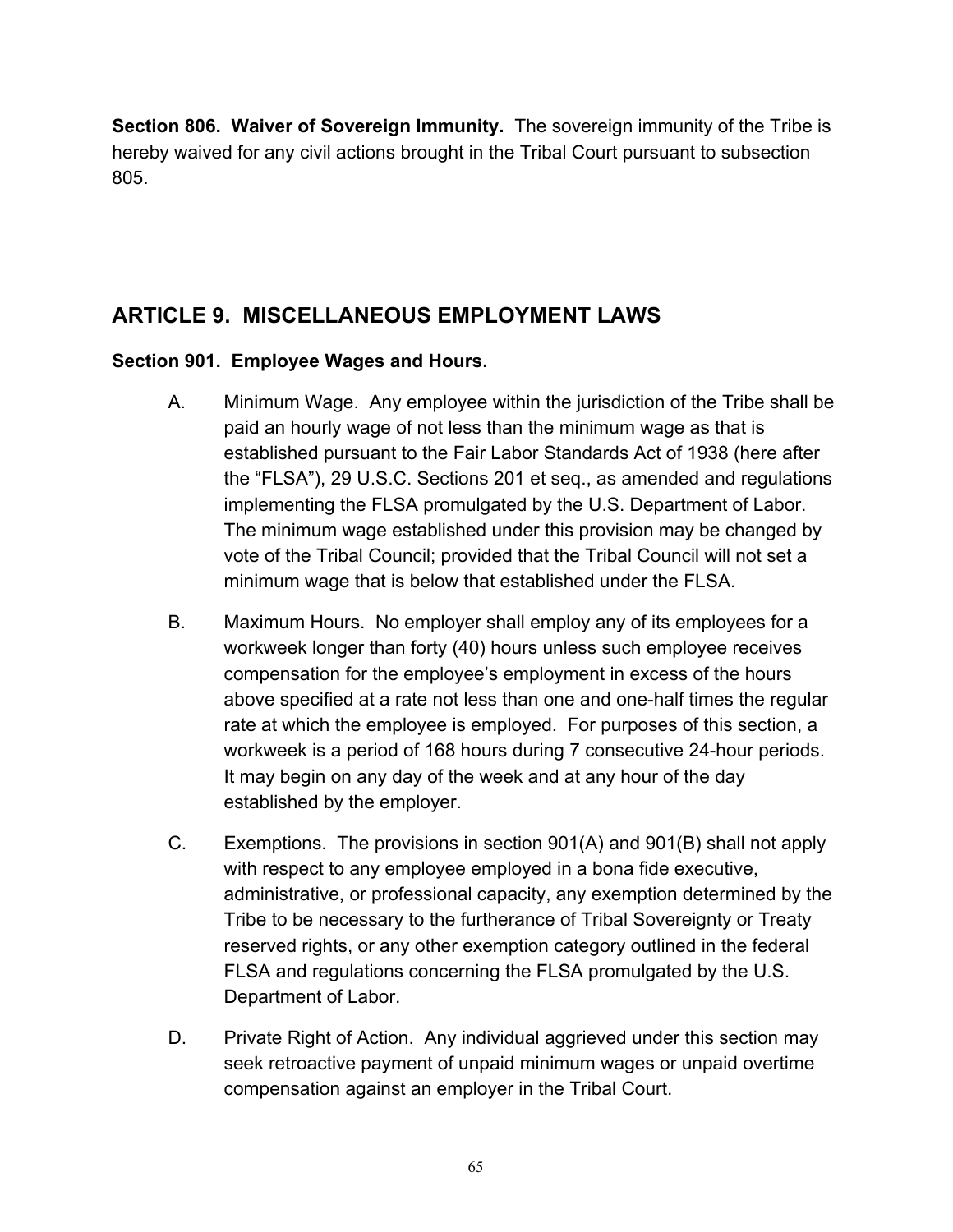**Section 806. Waiver of Sovereign Immunity.** The sovereign immunity of the Tribe is hereby waived for any civil actions brought in the Tribal Court pursuant to subsection 805.

## **ARTICLE 9. MISCELLANEOUS EMPLOYMENT LAWS**

#### **Section 901. Employee Wages and Hours.**

- A. Minimum Wage. Any employee within the jurisdiction of the Tribe shall be paid an hourly wage of not less than the minimum wage as that is established pursuant to the Fair Labor Standards Act of 1938 (here after the "FLSA"), 29 U.S.C. Sections 201 et seq., as amended and regulations implementing the FLSA promulgated by the U.S. Department of Labor. The minimum wage established under this provision may be changed by vote of the Tribal Council; provided that the Tribal Council will not set a minimum wage that is below that established under the FLSA.
- B. Maximum Hours. No employer shall employ any of its employees for a workweek longer than forty (40) hours unless such employee receives compensation for the employee's employment in excess of the hours above specified at a rate not less than one and one-half times the regular rate at which the employee is employed. For purposes of this section, a workweek is a period of 168 hours during 7 consecutive 24-hour periods. It may begin on any day of the week and at any hour of the day established by the employer.
- C. Exemptions. The provisions in section 901(A) and 901(B) shall not apply with respect to any employee employed in a bona fide executive, administrative, or professional capacity, any exemption determined by the Tribe to be necessary to the furtherance of Tribal Sovereignty or Treaty reserved rights, or any other exemption category outlined in the federal FLSA and regulations concerning the FLSA promulgated by the U.S. Department of Labor.
- D. Private Right of Action. Any individual aggrieved under this section may seek retroactive payment of unpaid minimum wages or unpaid overtime compensation against an employer in the Tribal Court.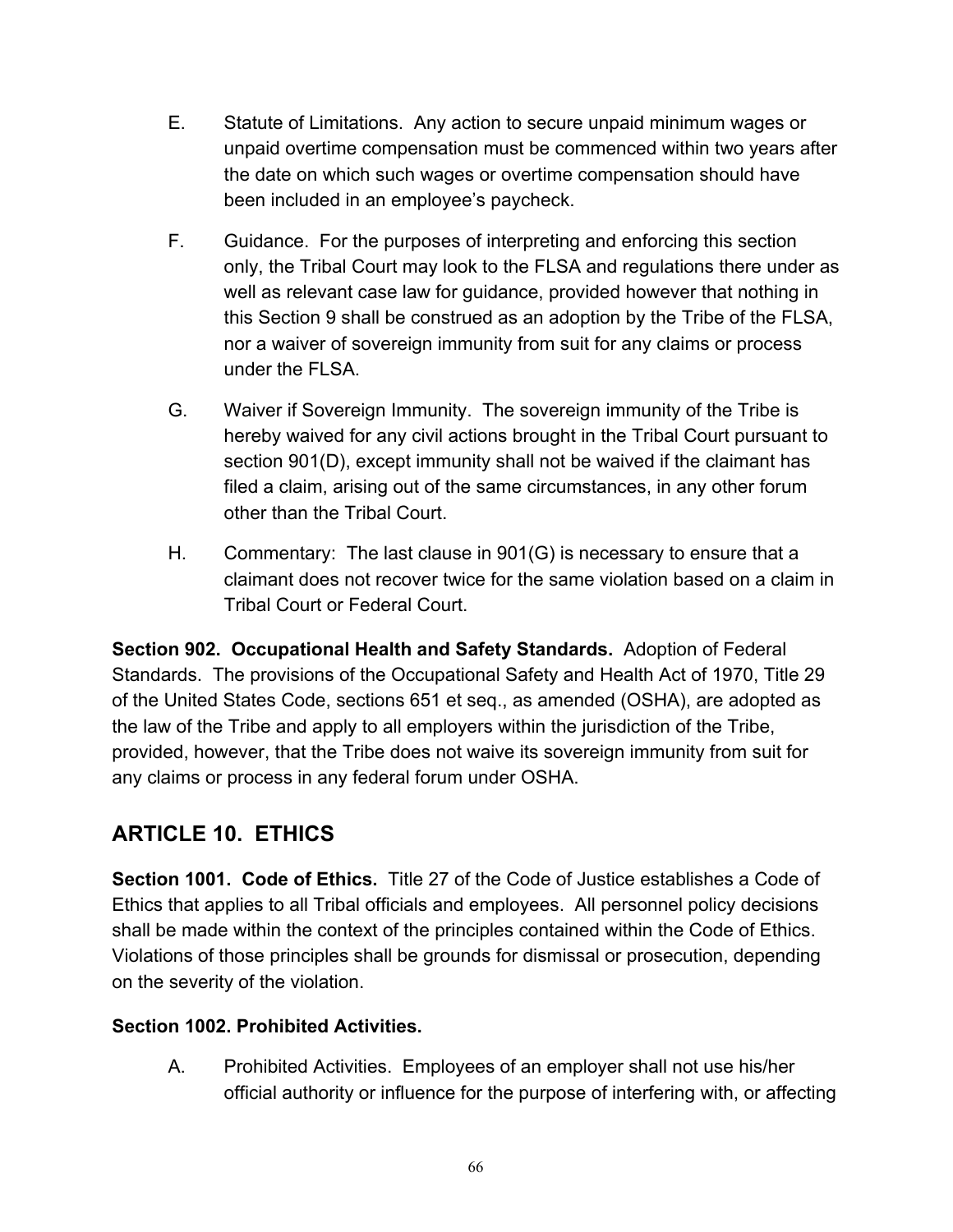- E. Statute of Limitations. Any action to secure unpaid minimum wages or unpaid overtime compensation must be commenced within two years after the date on which such wages or overtime compensation should have been included in an employee's paycheck.
- F. Guidance. For the purposes of interpreting and enforcing this section only, the Tribal Court may look to the FLSA and regulations there under as well as relevant case law for guidance, provided however that nothing in this Section 9 shall be construed as an adoption by the Tribe of the FLSA, nor a waiver of sovereign immunity from suit for any claims or process under the FLSA.
- G. Waiver if Sovereign Immunity. The sovereign immunity of the Tribe is hereby waived for any civil actions brought in the Tribal Court pursuant to section 901(D), except immunity shall not be waived if the claimant has filed a claim, arising out of the same circumstances, in any other forum other than the Tribal Court.
- H. Commentary: The last clause in 901(G) is necessary to ensure that a claimant does not recover twice for the same violation based on a claim in Tribal Court or Federal Court.

**Section 902. Occupational Health and Safety Standards.** Adoption of Federal Standards. The provisions of the Occupational Safety and Health Act of 1970, Title 29 of the United States Code, sections 651 et seq., as amended (OSHA), are adopted as the law of the Tribe and apply to all employers within the jurisdiction of the Tribe, provided, however, that the Tribe does not waive its sovereign immunity from suit for any claims or process in any federal forum under OSHA.

# **ARTICLE 10. ETHICS**

**Section 1001. Code of Ethics.** Title 27 of the Code of Justice establishes a Code of Ethics that applies to all Tribal officials and employees. All personnel policy decisions shall be made within the context of the principles contained within the Code of Ethics. Violations of those principles shall be grounds for dismissal or prosecution, depending on the severity of the violation.

## **Section 1002. Prohibited Activities.**

A. Prohibited Activities. Employees of an employer shall not use his/her official authority or influence for the purpose of interfering with, or affecting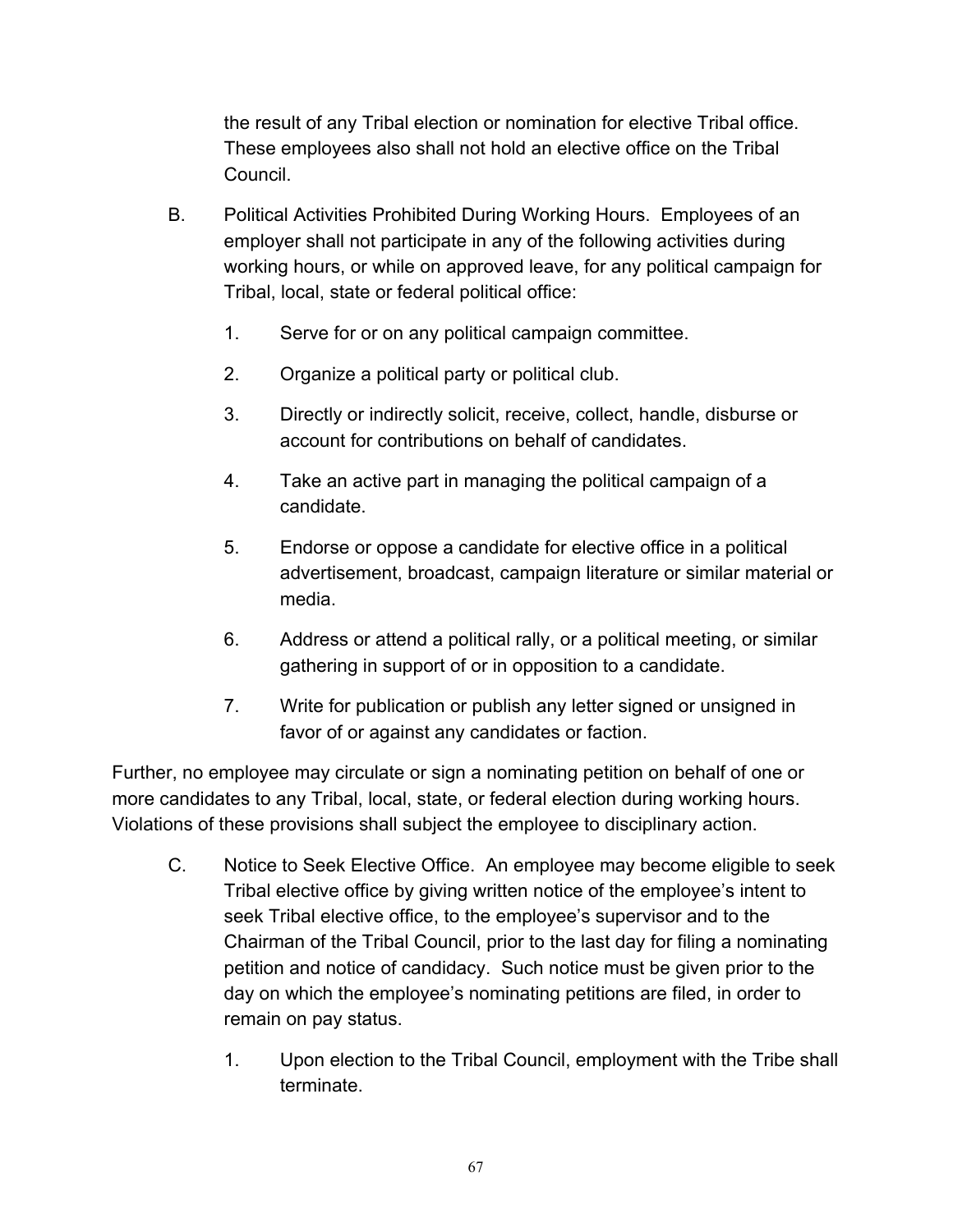the result of any Tribal election or nomination for elective Tribal office. These employees also shall not hold an elective office on the Tribal Council.

- B. Political Activities Prohibited During Working Hours. Employees of an employer shall not participate in any of the following activities during working hours, or while on approved leave, for any political campaign for Tribal, local, state or federal political office:
	- 1. Serve for or on any political campaign committee.
	- 2. Organize a political party or political club.
	- 3. Directly or indirectly solicit, receive, collect, handle, disburse or account for contributions on behalf of candidates.
	- 4. Take an active part in managing the political campaign of a candidate.
	- 5. Endorse or oppose a candidate for elective office in a political advertisement, broadcast, campaign literature or similar material or media.
	- 6. Address or attend a political rally, or a political meeting, or similar gathering in support of or in opposition to a candidate.
	- 7. Write for publication or publish any letter signed or unsigned in favor of or against any candidates or faction.

Further, no employee may circulate or sign a nominating petition on behalf of one or more candidates to any Tribal, local, state, or federal election during working hours. Violations of these provisions shall subject the employee to disciplinary action.

- C. Notice to Seek Elective Office. An employee may become eligible to seek Tribal elective office by giving written notice of the employee's intent to seek Tribal elective office, to the employee's supervisor and to the Chairman of the Tribal Council, prior to the last day for filing a nominating petition and notice of candidacy. Such notice must be given prior to the day on which the employee's nominating petitions are filed, in order to remain on pay status.
	- 1. Upon election to the Tribal Council, employment with the Tribe shall terminate.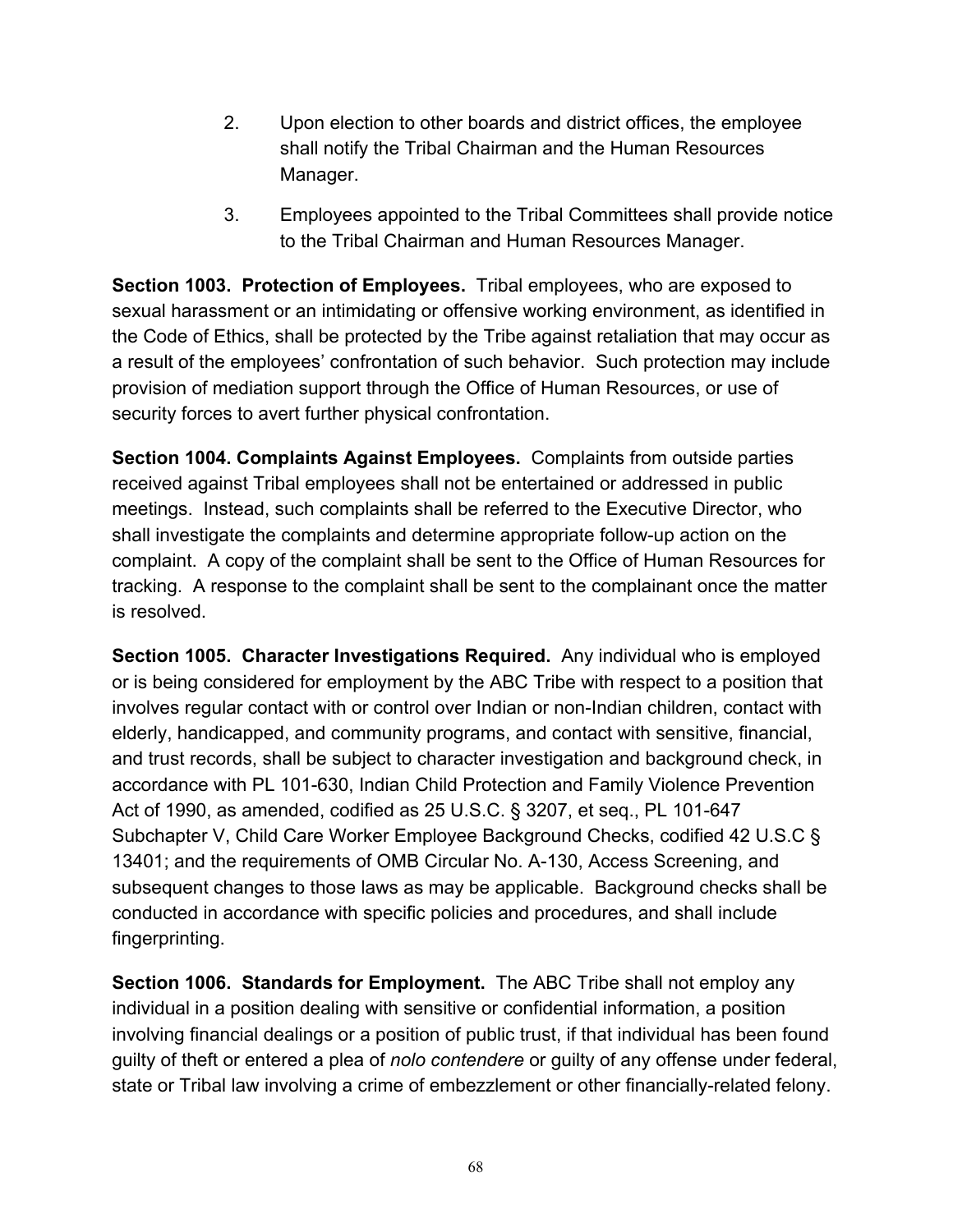- 2. Upon election to other boards and district offices, the employee shall notify the Tribal Chairman and the Human Resources Manager.
- 3. Employees appointed to the Tribal Committees shall provide notice to the Tribal Chairman and Human Resources Manager.

**Section 1003. Protection of Employees.** Tribal employees, who are exposed to sexual harassment or an intimidating or offensive working environment, as identified in the Code of Ethics, shall be protected by the Tribe against retaliation that may occur as a result of the employees' confrontation of such behavior. Such protection may include provision of mediation support through the Office of Human Resources, or use of security forces to avert further physical confrontation.

**Section 1004. Complaints Against Employees.** Complaints from outside parties received against Tribal employees shall not be entertained or addressed in public meetings. Instead, such complaints shall be referred to the Executive Director, who shall investigate the complaints and determine appropriate follow-up action on the complaint. A copy of the complaint shall be sent to the Office of Human Resources for tracking. A response to the complaint shall be sent to the complainant once the matter is resolved.

**Section 1005. Character Investigations Required.** Any individual who is employed or is being considered for employment by the ABC Tribe with respect to a position that involves regular contact with or control over Indian or non-Indian children, contact with elderly, handicapped, and community programs, and contact with sensitive, financial, and trust records, shall be subject to character investigation and background check, in accordance with PL 101-630, Indian Child Protection and Family Violence Prevention Act of 1990, as amended, codified as 25 U.S.C. § 3207, et seq., PL 101-647 Subchapter V, Child Care Worker Employee Background Checks, codified 42 U.S.C § 13401; and the requirements of OMB Circular No. A-130, Access Screening, and subsequent changes to those laws as may be applicable. Background checks shall be conducted in accordance with specific policies and procedures, and shall include fingerprinting.

**Section 1006. Standards for Employment.** The ABC Tribe shall not employ any individual in a position dealing with sensitive or confidential information, a position involving financial dealings or a position of public trust, if that individual has been found guilty of theft or entered a plea of *nolo contendere* or guilty of any offense under federal, state or Tribal law involving a crime of embezzlement or other financially-related felony.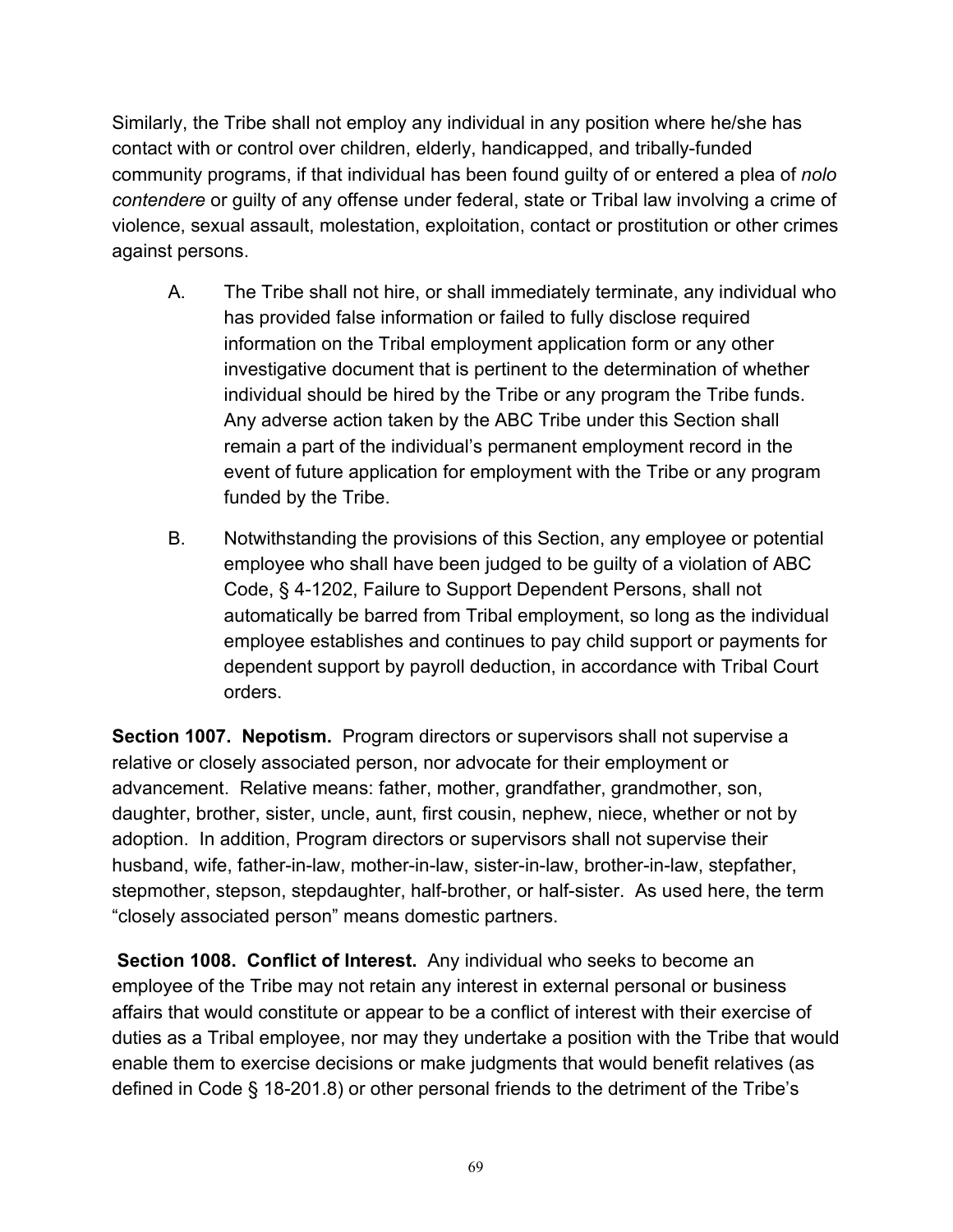Similarly, the Tribe shall not employ any individual in any position where he/she has contact with or control over children, elderly, handicapped, and tribally-funded community programs, if that individual has been found guilty of or entered a plea of *nolo contendere* or guilty of any offense under federal, state or Tribal law involving a crime of violence, sexual assault, molestation, exploitation, contact or prostitution or other crimes against persons.

- A. The Tribe shall not hire, or shall immediately terminate, any individual who has provided false information or failed to fully disclose required information on the Tribal employment application form or any other investigative document that is pertinent to the determination of whether individual should be hired by the Tribe or any program the Tribe funds. Any adverse action taken by the ABC Tribe under this Section shall remain a part of the individual's permanent employment record in the event of future application for employment with the Tribe or any program funded by the Tribe.
- B. Notwithstanding the provisions of this Section, any employee or potential employee who shall have been judged to be guilty of a violation of ABC Code, § 4-1202, Failure to Support Dependent Persons, shall not automatically be barred from Tribal employment, so long as the individual employee establishes and continues to pay child support or payments for dependent support by payroll deduction, in accordance with Tribal Court orders.

**Section 1007. Nepotism.** Program directors or supervisors shall not supervise a relative or closely associated person, nor advocate for their employment or advancement. Relative means: father, mother, grandfather, grandmother, son, daughter, brother, sister, uncle, aunt, first cousin, nephew, niece, whether or not by adoption. In addition, Program directors or supervisors shall not supervise their husband, wife, father-in-law, mother-in-law, sister-in-law, brother-in-law, stepfather, stepmother, stepson, stepdaughter, half-brother, or half-sister. As used here, the term "closely associated person" means domestic partners.

**Section 1008. Conflict of Interest.** Any individual who seeks to become an employee of the Tribe may not retain any interest in external personal or business affairs that would constitute or appear to be a conflict of interest with their exercise of duties as a Tribal employee, nor may they undertake a position with the Tribe that would enable them to exercise decisions or make judgments that would benefit relatives (as defined in Code § 18-201.8) or other personal friends to the detriment of the Tribe's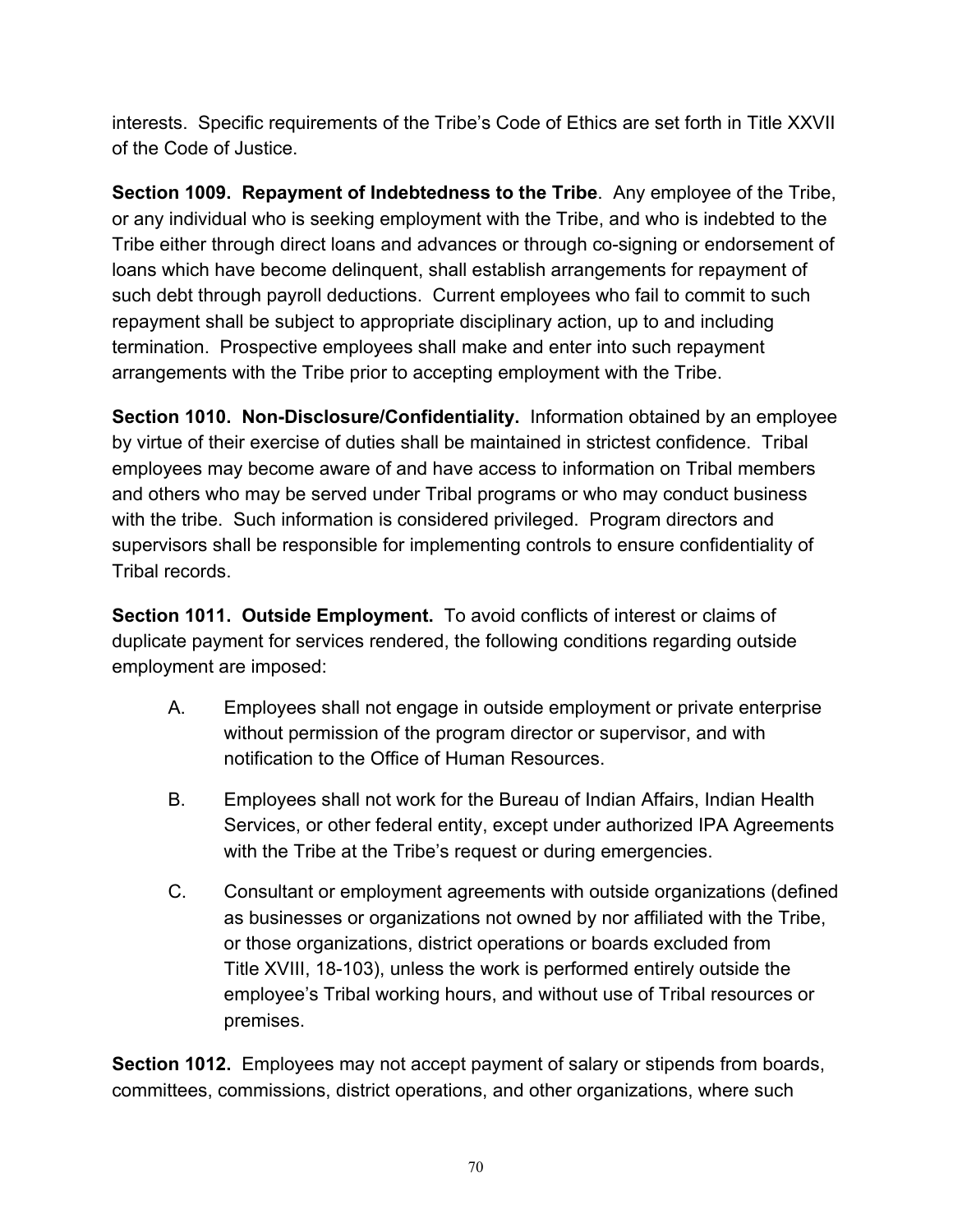interests. Specific requirements of the Tribe's Code of Ethics are set forth in Title XXVII of the Code of Justice.

**Section 1009. Repayment of Indebtedness to the Tribe**. Any employee of the Tribe, or any individual who is seeking employment with the Tribe, and who is indebted to the Tribe either through direct loans and advances or through co-signing or endorsement of loans which have become delinquent, shall establish arrangements for repayment of such debt through payroll deductions. Current employees who fail to commit to such repayment shall be subject to appropriate disciplinary action, up to and including termination. Prospective employees shall make and enter into such repayment arrangements with the Tribe prior to accepting employment with the Tribe.

**Section 1010. Non-Disclosure/Confidentiality.** Information obtained by an employee by virtue of their exercise of duties shall be maintained in strictest confidence. Tribal employees may become aware of and have access to information on Tribal members and others who may be served under Tribal programs or who may conduct business with the tribe. Such information is considered privileged. Program directors and supervisors shall be responsible for implementing controls to ensure confidentiality of Tribal records.

**Section 1011. Outside Employment.** To avoid conflicts of interest or claims of duplicate payment for services rendered, the following conditions regarding outside employment are imposed:

- A. Employees shall not engage in outside employment or private enterprise without permission of the program director or supervisor, and with notification to the Office of Human Resources.
- B. Employees shall not work for the Bureau of Indian Affairs, Indian Health Services, or other federal entity, except under authorized IPA Agreements with the Tribe at the Tribe's request or during emergencies.
- C. Consultant or employment agreements with outside organizations (defined as businesses or organizations not owned by nor affiliated with the Tribe, or those organizations, district operations or boards excluded from Title XVIII, 18-103), unless the work is performed entirely outside the employee's Tribal working hours, and without use of Tribal resources or premises.

**Section 1012.** Employees may not accept payment of salary or stipends from boards, committees, commissions, district operations, and other organizations, where such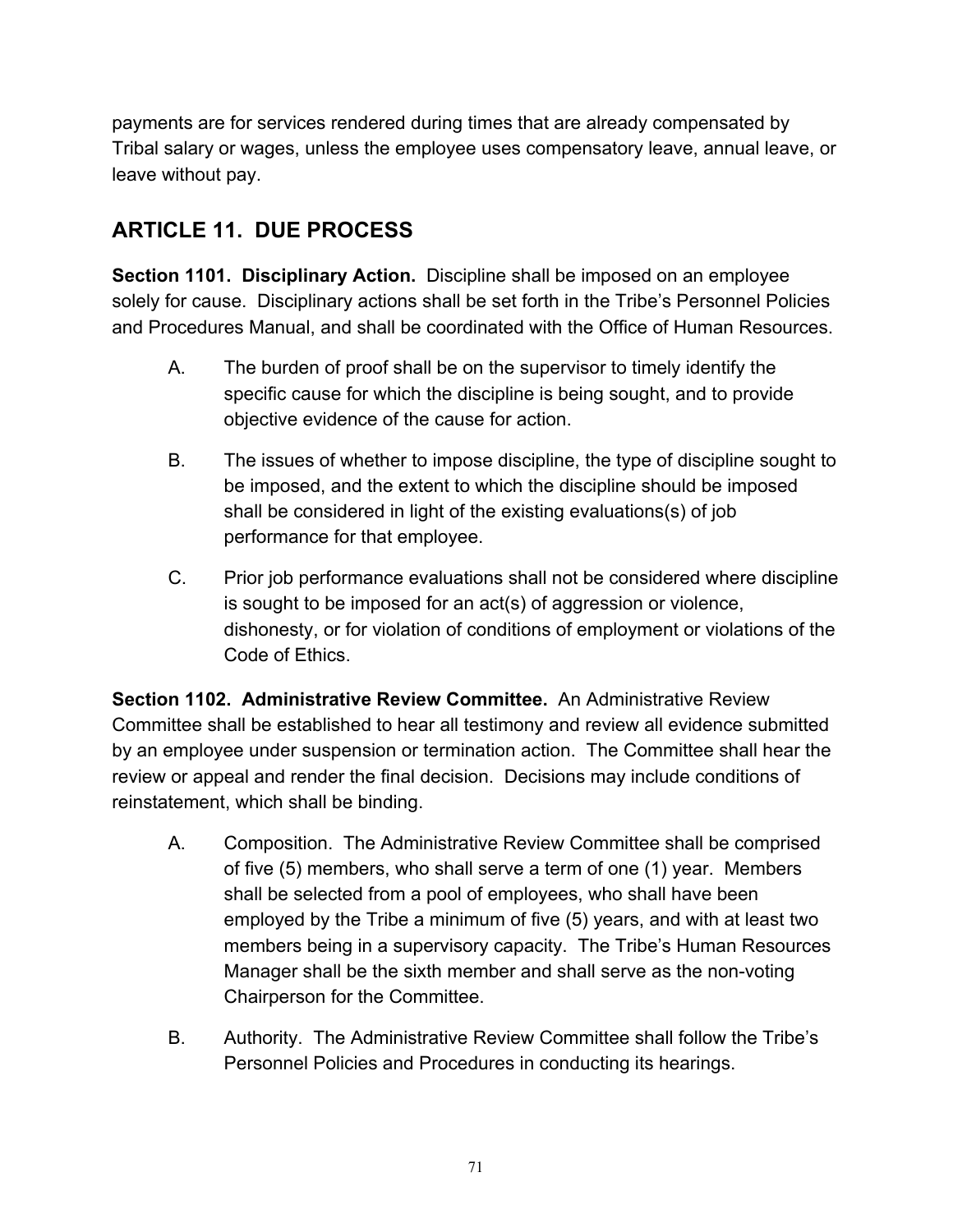payments are for services rendered during times that are already compensated by Tribal salary or wages, unless the employee uses compensatory leave, annual leave, or leave without pay.

# **ARTICLE 11. DUE PROCESS**

**Section 1101. Disciplinary Action.** Discipline shall be imposed on an employee solely for cause. Disciplinary actions shall be set forth in the Tribe's Personnel Policies and Procedures Manual, and shall be coordinated with the Office of Human Resources.

- A. The burden of proof shall be on the supervisor to timely identify the specific cause for which the discipline is being sought, and to provide objective evidence of the cause for action.
- B. The issues of whether to impose discipline, the type of discipline sought to be imposed, and the extent to which the discipline should be imposed shall be considered in light of the existing evaluations(s) of job performance for that employee.
- C. Prior job performance evaluations shall not be considered where discipline is sought to be imposed for an act(s) of aggression or violence, dishonesty, or for violation of conditions of employment or violations of the Code of Ethics.

**Section 1102. Administrative Review Committee.** An Administrative Review Committee shall be established to hear all testimony and review all evidence submitted by an employee under suspension or termination action. The Committee shall hear the review or appeal and render the final decision. Decisions may include conditions of reinstatement, which shall be binding.

- A. Composition. The Administrative Review Committee shall be comprised of five (5) members, who shall serve a term of one (1) year. Members shall be selected from a pool of employees, who shall have been employed by the Tribe a minimum of five (5) years, and with at least two members being in a supervisory capacity. The Tribe's Human Resources Manager shall be the sixth member and shall serve as the non-voting Chairperson for the Committee.
- B. Authority. The Administrative Review Committee shall follow the Tribe's Personnel Policies and Procedures in conducting its hearings.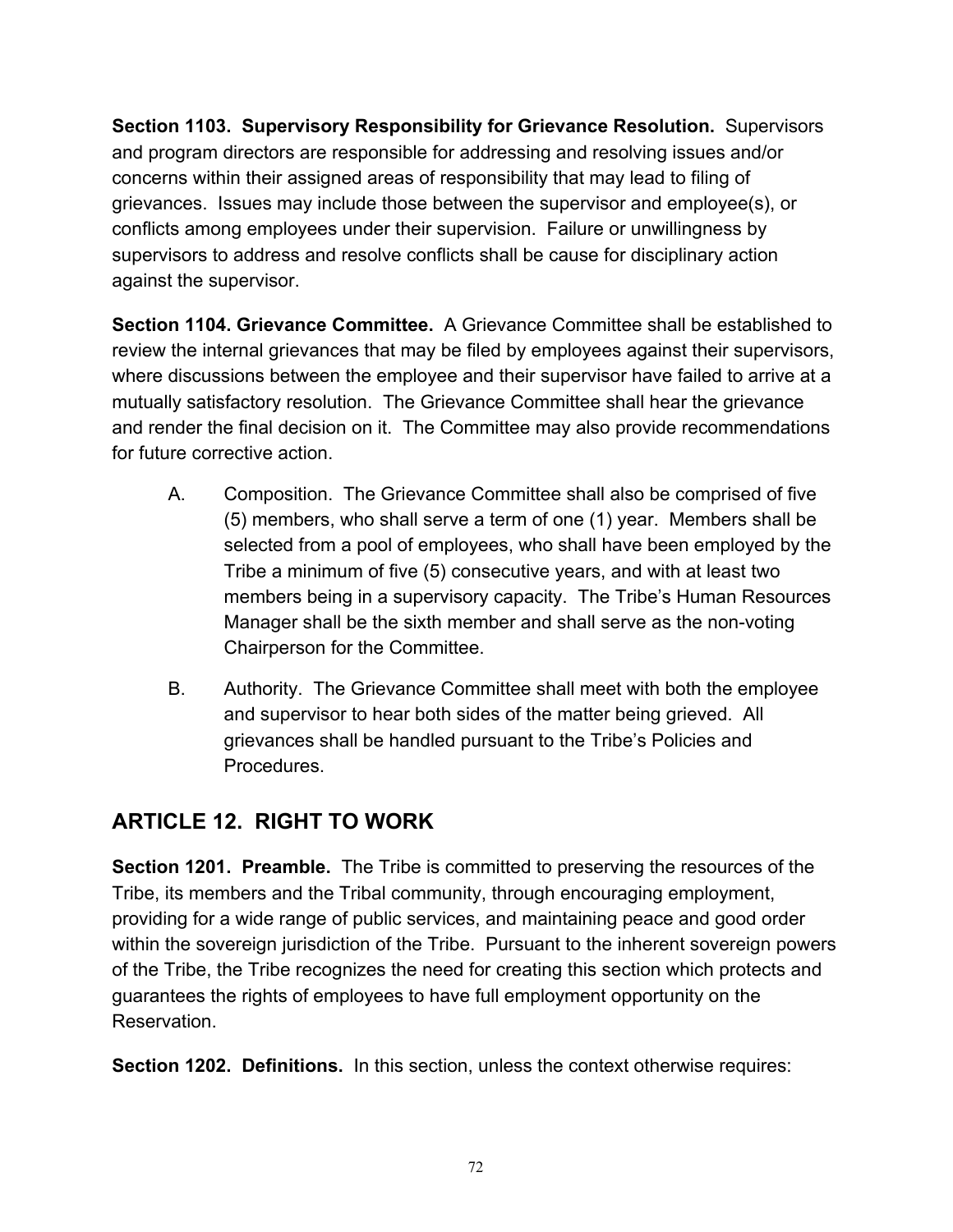**Section 1103. Supervisory Responsibility for Grievance Resolution.** Supervisors and program directors are responsible for addressing and resolving issues and/or concerns within their assigned areas of responsibility that may lead to filing of grievances. Issues may include those between the supervisor and employee(s), or conflicts among employees under their supervision. Failure or unwillingness by supervisors to address and resolve conflicts shall be cause for disciplinary action against the supervisor.

**Section 1104. Grievance Committee.** A Grievance Committee shall be established to review the internal grievances that may be filed by employees against their supervisors, where discussions between the employee and their supervisor have failed to arrive at a mutually satisfactory resolution. The Grievance Committee shall hear the grievance and render the final decision on it. The Committee may also provide recommendations for future corrective action.

- A. Composition. The Grievance Committee shall also be comprised of five (5) members, who shall serve a term of one (1) year. Members shall be selected from a pool of employees, who shall have been employed by the Tribe a minimum of five (5) consecutive years, and with at least two members being in a supervisory capacity. The Tribe's Human Resources Manager shall be the sixth member and shall serve as the non-voting Chairperson for the Committee.
- B. Authority. The Grievance Committee shall meet with both the employee and supervisor to hear both sides of the matter being grieved. All grievances shall be handled pursuant to the Tribe's Policies and Procedures.

# **ARTICLE 12. RIGHT TO WORK**

**Section 1201. Preamble.** The Tribe is committed to preserving the resources of the Tribe, its members and the Tribal community, through encouraging employment, providing for a wide range of public services, and maintaining peace and good order within the sovereign jurisdiction of the Tribe. Pursuant to the inherent sovereign powers of the Tribe, the Tribe recognizes the need for creating this section which protects and guarantees the rights of employees to have full employment opportunity on the Reservation.

**Section 1202. Definitions.** In this section, unless the context otherwise requires: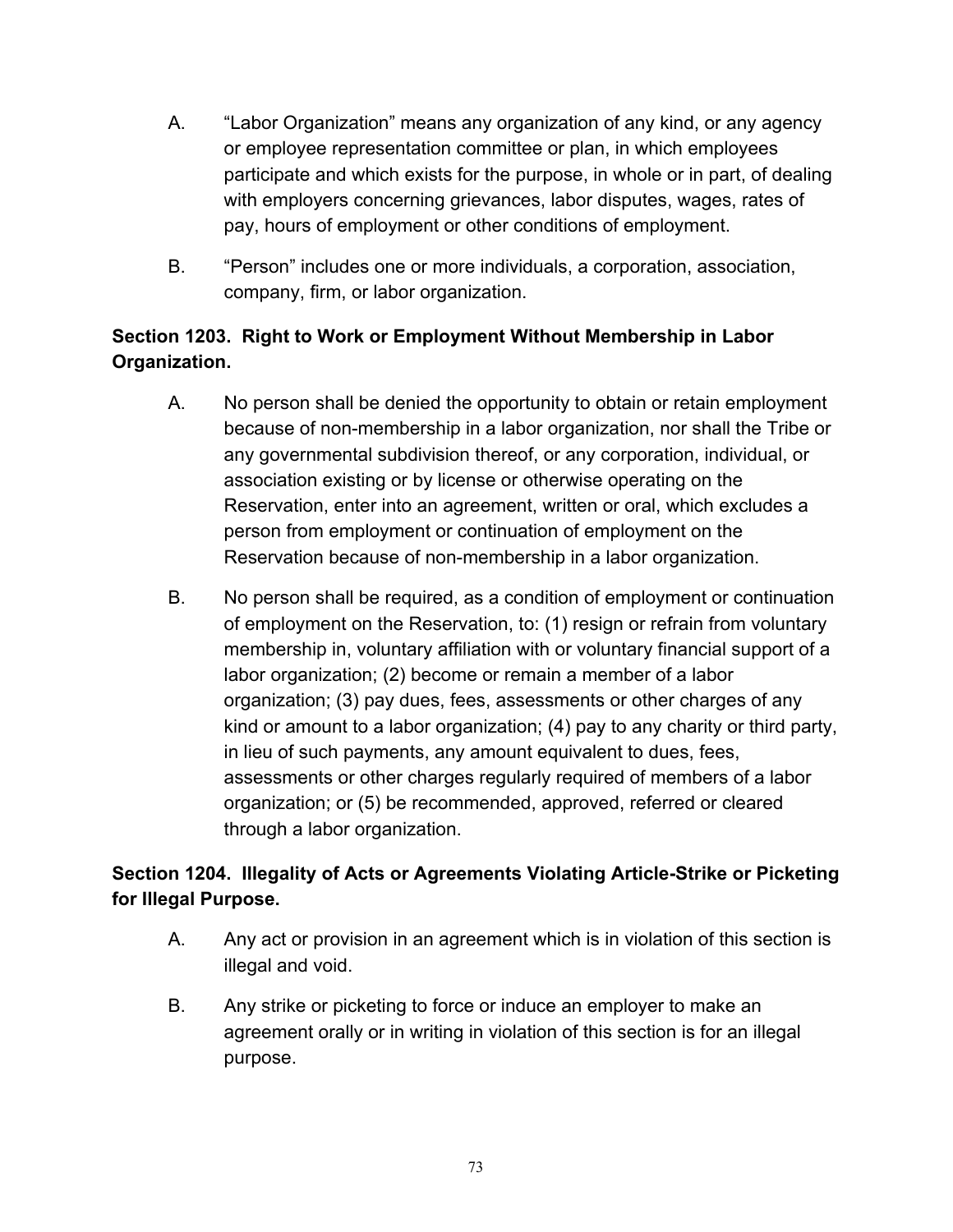- A. "Labor Organization" means any organization of any kind, or any agency or employee representation committee or plan, in which employees participate and which exists for the purpose, in whole or in part, of dealing with employers concerning grievances, labor disputes, wages, rates of pay, hours of employment or other conditions of employment.
- B. "Person" includes one or more individuals, a corporation, association, company, firm, or labor organization.

## **Section 1203. Right to Work or Employment Without Membership in Labor Organization.**

- A. No person shall be denied the opportunity to obtain or retain employment because of non-membership in a labor organization, nor shall the Tribe or any governmental subdivision thereof, or any corporation, individual, or association existing or by license or otherwise operating on the Reservation, enter into an agreement, written or oral, which excludes a person from employment or continuation of employment on the Reservation because of non-membership in a labor organization.
- B. No person shall be required, as a condition of employment or continuation of employment on the Reservation, to: (1) resign or refrain from voluntary membership in, voluntary affiliation with or voluntary financial support of a labor organization; (2) become or remain a member of a labor organization; (3) pay dues, fees, assessments or other charges of any kind or amount to a labor organization; (4) pay to any charity or third party, in lieu of such payments, any amount equivalent to dues, fees, assessments or other charges regularly required of members of a labor organization; or (5) be recommended, approved, referred or cleared through a labor organization.

## **Section 1204. Illegality of Acts or Agreements Violating Article-Strike or Picketing for Illegal Purpose.**

- A. Any act or provision in an agreement which is in violation of this section is illegal and void.
- B. Any strike or picketing to force or induce an employer to make an agreement orally or in writing in violation of this section is for an illegal purpose.